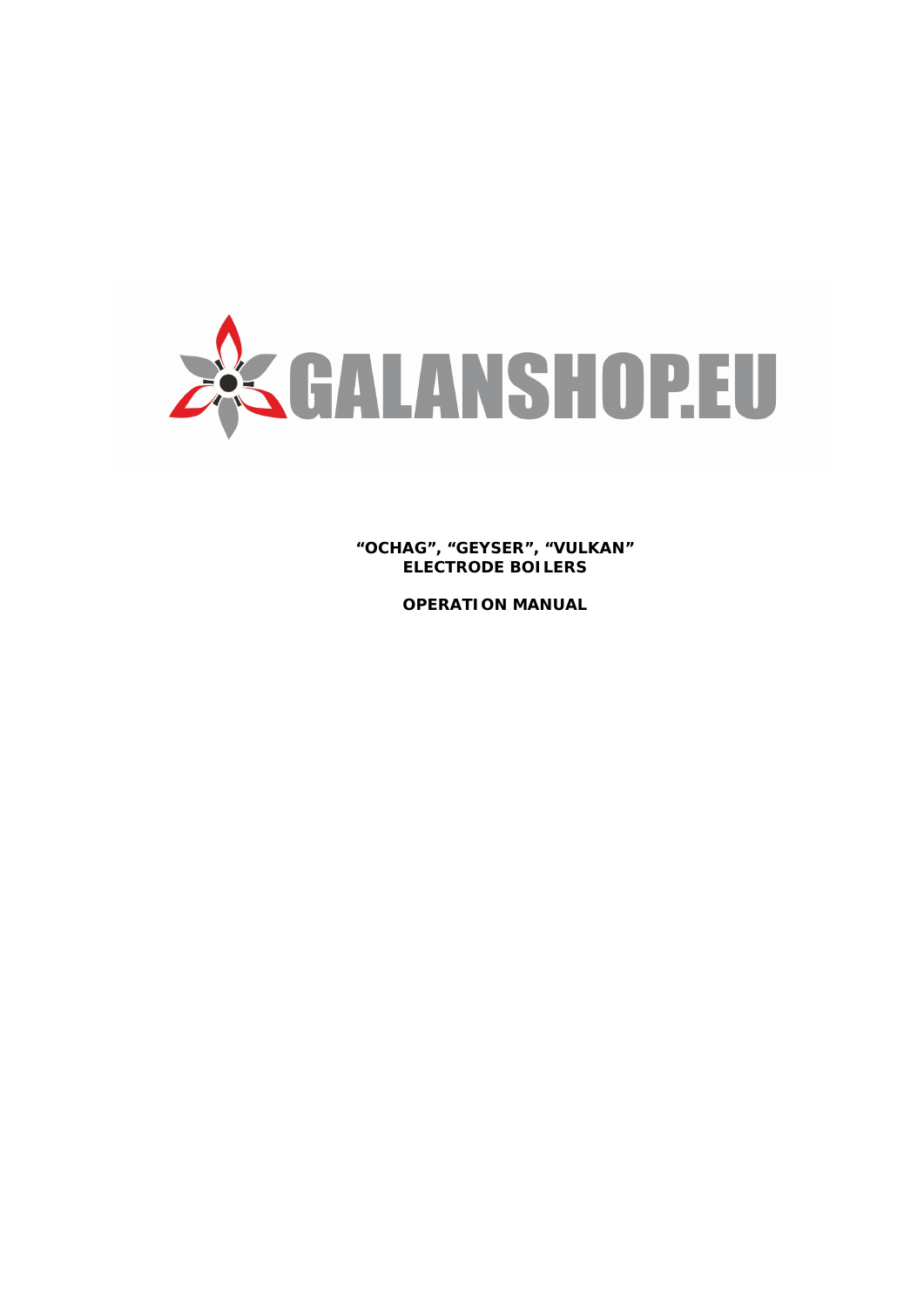

**"OCHAG", "GEYSER", "VULKAN" ELECTRODE BOILERS**

**OPERATION MANUAL**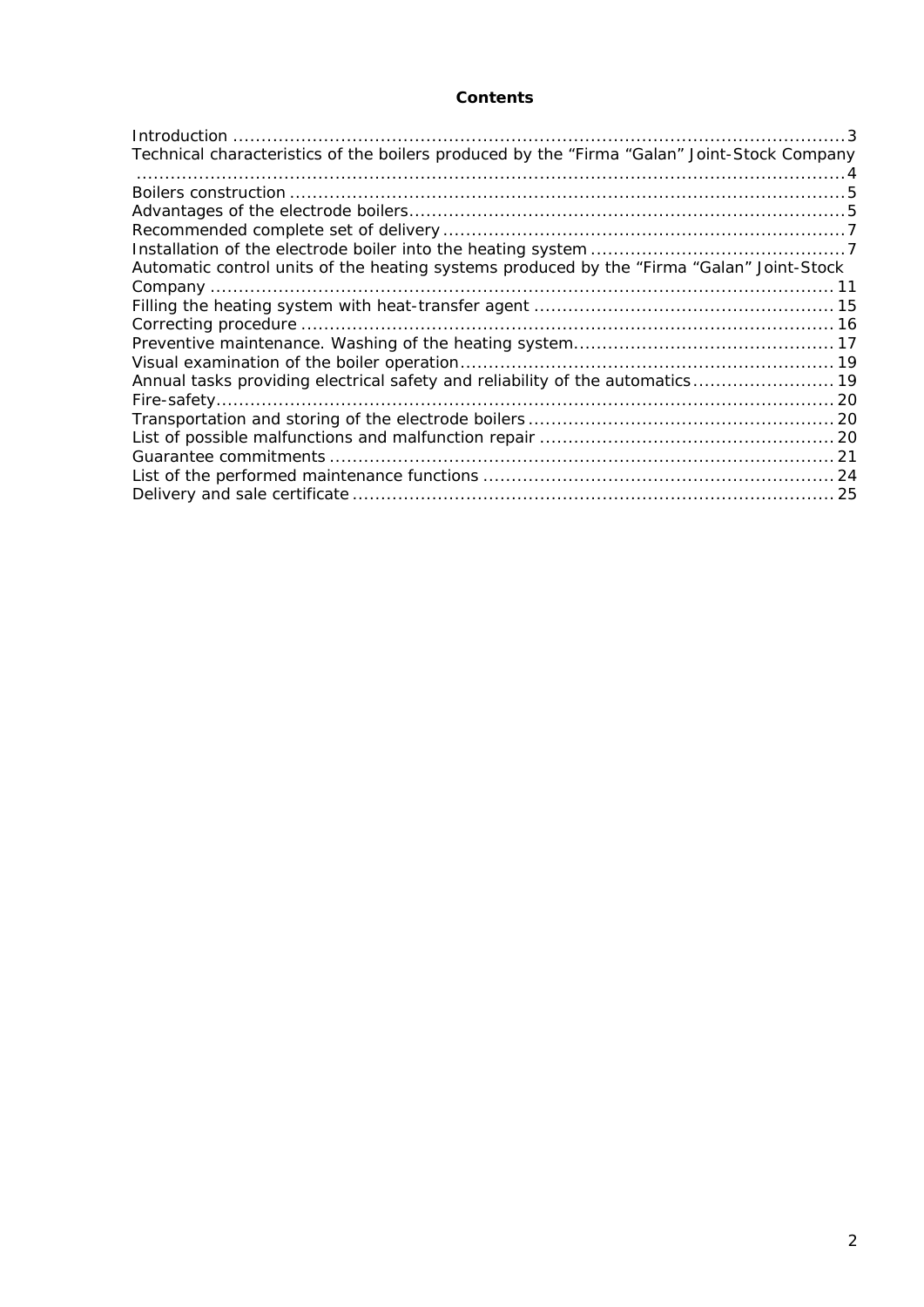# **Contents**

| Technical characteristics of the boilers produced by the "Firma "Galan" Joint-Stock Company |  |
|---------------------------------------------------------------------------------------------|--|
|                                                                                             |  |
|                                                                                             |  |
|                                                                                             |  |
|                                                                                             |  |
|                                                                                             |  |
| Automatic control units of the heating systems produced by the "Firma "Galan" Joint-Stock   |  |
|                                                                                             |  |
|                                                                                             |  |
|                                                                                             |  |
|                                                                                             |  |
|                                                                                             |  |
| Annual tasks providing electrical safety and reliability of the automatics 19               |  |
|                                                                                             |  |
|                                                                                             |  |
|                                                                                             |  |
|                                                                                             |  |
|                                                                                             |  |
|                                                                                             |  |
|                                                                                             |  |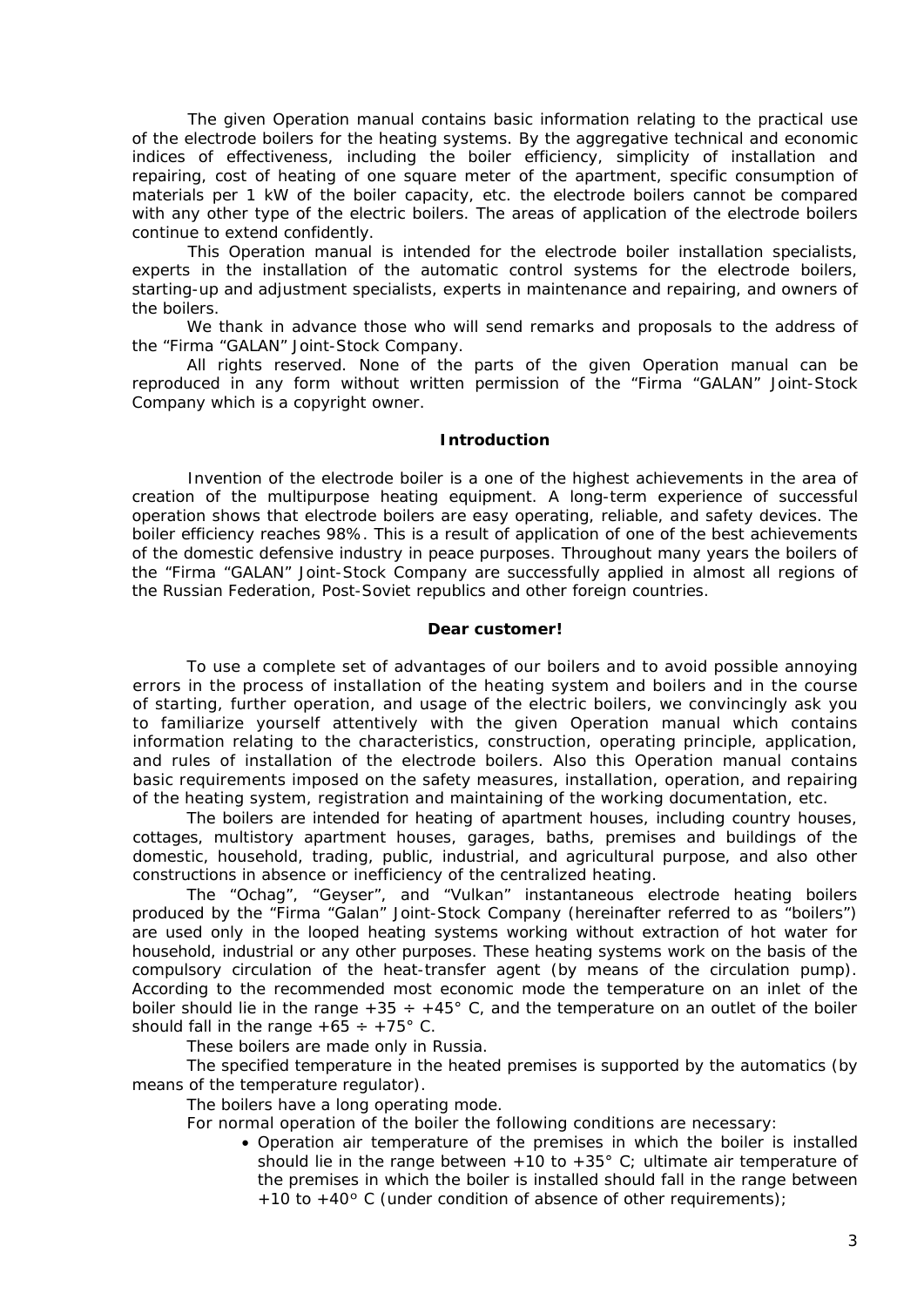The given Operation manual contains basic information relating to the practical use of the electrode boilers for the heating systems. By the aggregative technical and economic indices of effectiveness, including the boiler efficiency, simplicity of installation and repairing, cost of heating of one square meter of the apartment, specific consumption of materials per 1 kW of the boiler capacity, etc. the electrode boilers cannot be compared with any other type of the electric boilers. The areas of application of the electrode boilers continue to extend confidently.

This Operation manual is intended for the electrode boiler installation specialists, experts in the installation of the automatic control systems for the electrode boilers, starting-up and adjustment specialists, experts in maintenance and repairing, and owners of the boilers.

We thank in advance those who will send remarks and proposals to the address of the "Firma "GALAN" Joint-Stock Company.

All rights reserved. None of the parts of the given Operation manual can be reproduced in any form without written permission of the "Firma "GALAN" Joint-Stock Company which is a copyright owner.

#### **Introduction**

<span id="page-2-0"></span>Invention of the electrode boiler is a one of the highest achievements in the area of creation of the multipurpose heating equipment. A long-term experience of successful operation shows that electrode boilers are easy operating, reliable, and safety devices. The boiler efficiency reaches 98%. This is a result of application of one of the best achievements of the domestic defensive industry in peace purposes. Throughout many years the boilers of the "Firma "GALAN" Joint-Stock Company are successfully applied in almost all regions of the Russian Federation, Post-Soviet republics and other foreign countries.

#### **Dear customer!**

To use a complete set of advantages of our boilers and to avoid possible annoying errors in the process of installation of the heating system and boilers and in the course of starting, further operation, and usage of the electric boilers, we convincingly ask you to familiarize yourself attentively with the given Operation manual which contains information relating to the characteristics, construction, operating principle, application, and rules of installation of the electrode boilers. Also this Operation manual contains basic requirements imposed on the safety measures, installation, operation, and repairing of the heating system, registration and maintaining of the working documentation, etc.

The boilers are intended for heating of apartment houses, including country houses, cottages, multistory apartment houses, garages, baths, premises and buildings of the domestic, household, trading, public, industrial, and agricultural purpose, and also other constructions in absence or inefficiency of the centralized heating.

The "Ochag", "Geyser", and "Vulkan" instantaneous electrode heating boilers produced by the "Firma "Galan" Joint-Stock Company (hereinafter referred to as "boilers") are used only in the looped heating systems working without extraction of hot water for household, industrial or any other purposes. These heating systems work on the basis of the compulsory circulation of the heat-transfer agent (by means of the circulation pump). According to the recommended most economic mode the temperature on an inlet of the boiler should lie in the range  $+35 \div +45$ ° C, and the temperature on an outlet of the boiler should fall in the range  $+65 \div +75^{\circ}$  C.

These boilers are made only in Russia.

The specified temperature in the heated premises is supported by the automatics (by means of the temperature regulator).

The boilers have a long operating mode.

For normal operation of the boiler the following conditions are necessary:

• Operation air temperature of the premises in which the boiler is installed should lie in the range between +10 to +35 $^{\circ}$  C; ultimate air temperature of the premises in which the boiler is installed should fall in the range between +10 to +40° C (under condition of absence of other requirements);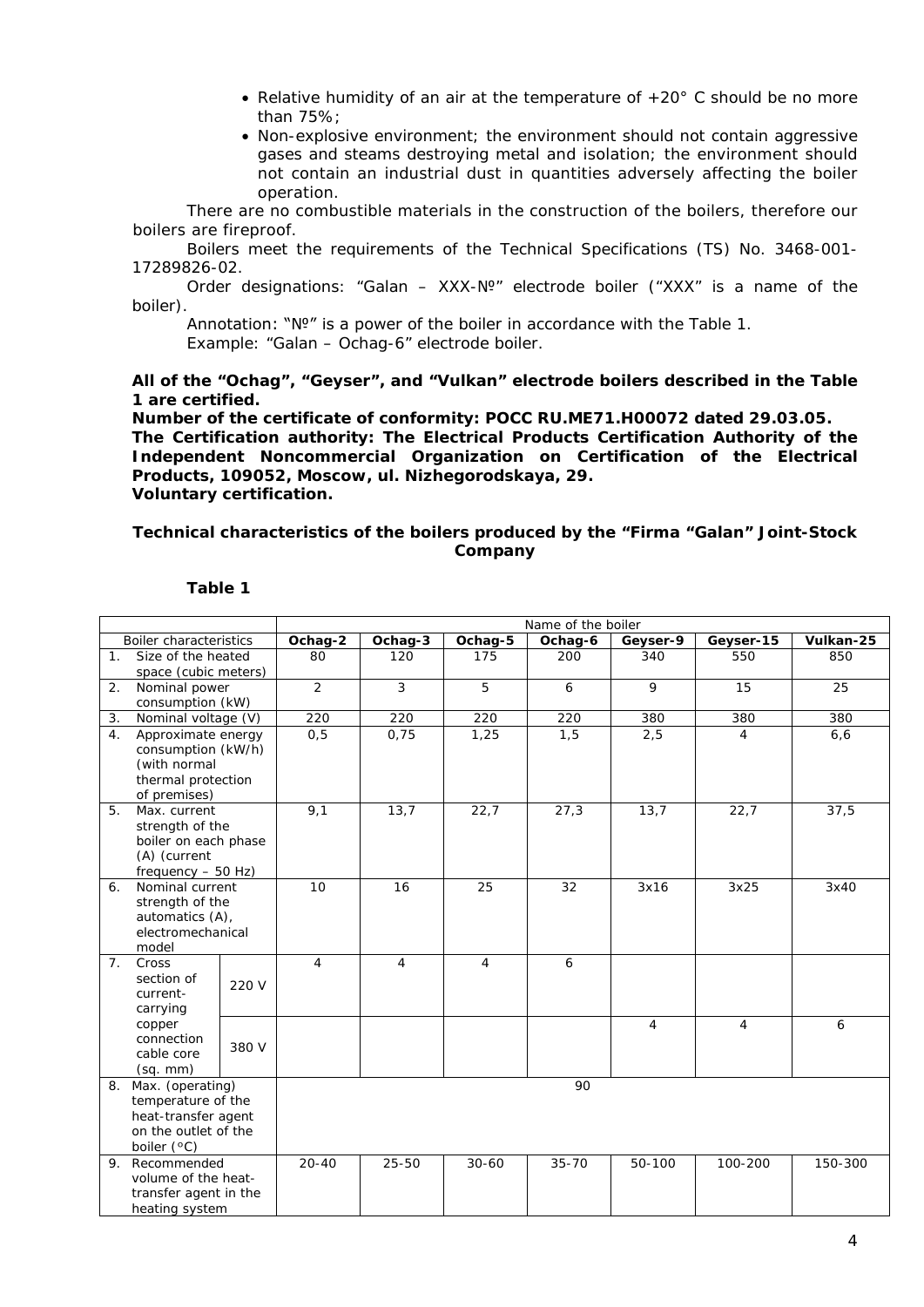- Relative humidity of an air at the temperature of  $+20^{\circ}$  C should be no more than 75%;
- Non-explosive environment; the environment should not contain aggressive gases and steams destroying metal and isolation; the environment should not contain an industrial dust in quantities adversely affecting the boiler operation.

There are no combustible materials in the construction of the boilers, therefore our boilers are fireproof.

Boilers meet the requirements of the Technical Specifications (TS) No. 3468-001- 17289826-02.

Order designations: "Galan – XXX-№" electrode boiler ("XXX" is a name of the boiler).

Annotation: "№" is a power of the boiler in accordance with the Table 1. Example: "Galan – Ochag-6" electrode boiler.

**All of the "Ochag", "Geyser", and "Vulkan" electrode boilers described in the Table 1 are certified.**

**Number of the certificate of conformity: РОСС RU.ME71.H00072 dated 29.03.05. The Certification authority: The Electrical Products Certification Authority of the Independent Noncommercial Organization on Certification of the Electrical Products, 109052, Moscow, ul. Nizhegorodskaya, 29. Voluntary certification.** 

# <span id="page-3-0"></span>**Technical characteristics of the boilers produced by the "Firma "Galan" Joint-Stock Company**

|                |                                                                                                         | Name of the boiler |                |                |           |                |                |           |
|----------------|---------------------------------------------------------------------------------------------------------|--------------------|----------------|----------------|-----------|----------------|----------------|-----------|
|                | Boiler characteristics                                                                                  | Ochag-2            | Ochag-3        | Ochag-5        | Ochag-6   | Geyser-9       | Geyser-15      | Vulkan-25 |
| 1 <sub>1</sub> | Size of the heated<br>space (cubic meters)                                                              | 80                 | 120            | 175            | 200       | 340            | 550            | 850       |
| 2.             | Nominal power<br>consumption (kW)                                                                       | $\overline{2}$     | $\mathbf{3}$   | 5              | 6         | 9              | 15             | 25        |
| 3.             | Nominal voltage (V)                                                                                     | 220                | 220            | 220            | 220       | 380            | 380            | 380       |
| 4.             | Approximate energy<br>consumption (kW/h)<br>(with normal<br>thermal protection<br>of premises)          | 0, 5               | 0,75           | 1,25           | 1,5       | 2,5            | $\overline{4}$ | 6, 6      |
| 5.             | Max. current<br>strength of the<br>boiler on each phase<br>(A) (current<br>frequency $-50$ Hz)          | 9,1                | 13,7           | 22,7           | 27,3      | 13,7           | 22,7           | 37,5      |
| 6.             | Nominal current<br>strength of the<br>automatics (A),<br>electromechanical<br>model                     | 10                 | 16             | 25             | 32        | 3x16           | 3x25           | 3x40      |
| 7 <sup>1</sup> | Cross<br>section of<br>220 V<br>current-<br>carrying                                                    | $\overline{4}$     | $\overline{4}$ | $\overline{4}$ | 6         |                |                |           |
|                | copper<br>connection<br>380 V<br>cable core<br>$(sq.$ mm $)$                                            |                    |                |                |           | $\overline{4}$ | $\overline{4}$ | 6         |
|                | 8. Max. (operating)<br>temperature of the<br>heat-transfer agent<br>on the outlet of the<br>boiler (°C) |                    |                |                | 90        |                |                |           |
| 9.             | Recommended<br>volume of the heat-<br>transfer agent in the<br>heating system                           | $20 - 40$          | 25-50          | $30 - 60$      | $35 - 70$ | 50-100         | 100-200        | 150-300   |

#### **Table 1**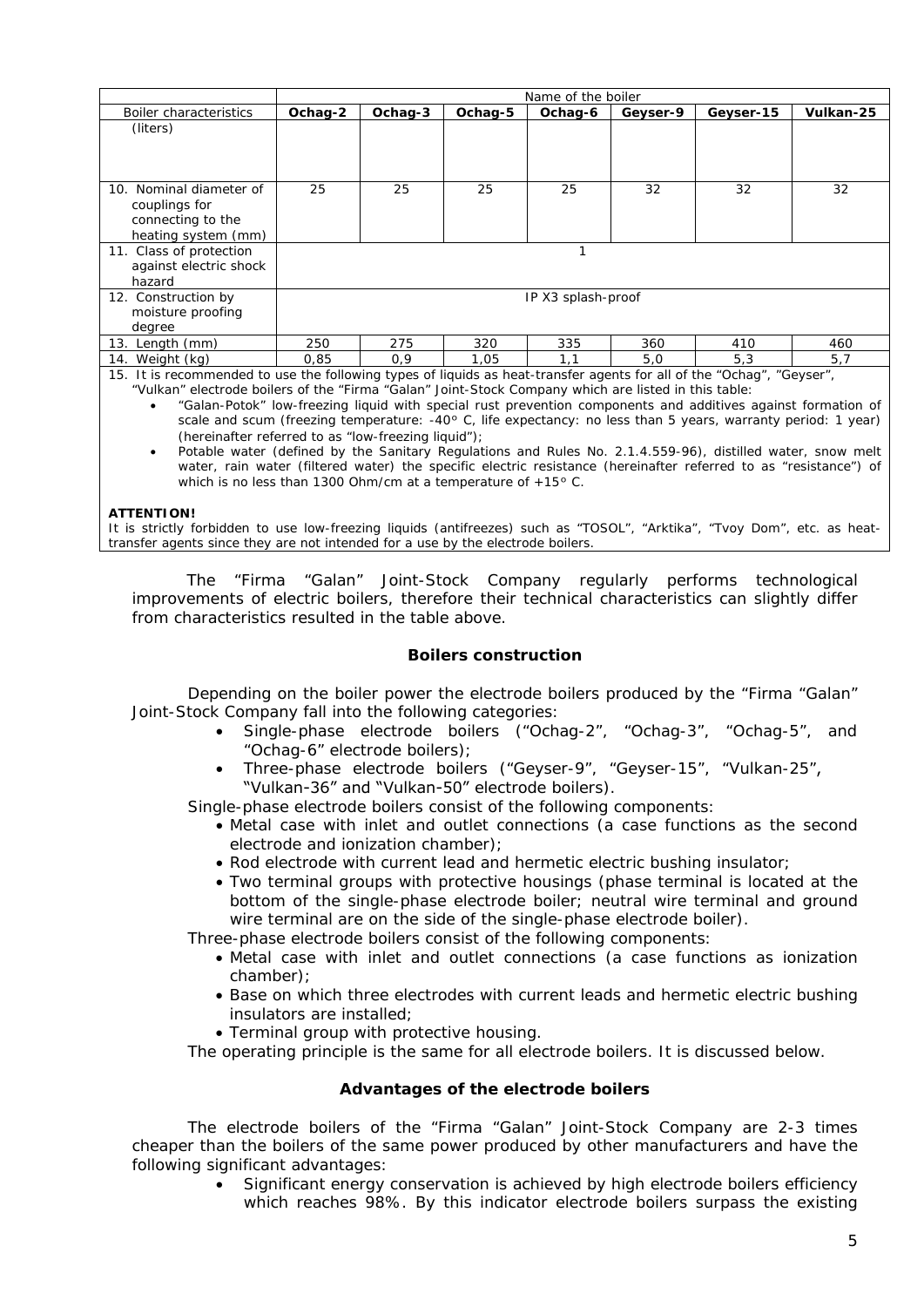|                                                                                                                                                                                                                                                                                                                                   |         |         |         | Name of the boiler |          |           |           |
|-----------------------------------------------------------------------------------------------------------------------------------------------------------------------------------------------------------------------------------------------------------------------------------------------------------------------------------|---------|---------|---------|--------------------|----------|-----------|-----------|
| Boiler characteristics                                                                                                                                                                                                                                                                                                            | Ochag-2 | Ochag-3 | Ochag-5 | Ochag-6            | Geyser-9 | Geyser-15 | Vulkan-25 |
| (liters)                                                                                                                                                                                                                                                                                                                          |         |         |         |                    |          |           |           |
| 10. Nominal diameter of<br>couplings for<br>connecting to the<br>heating system (mm)                                                                                                                                                                                                                                              | 25      | 25      | 25      | 25                 | 32       | 32        | 32        |
| 11. Class of protection<br>against electric shock<br>hazard                                                                                                                                                                                                                                                                       | 1       |         |         |                    |          |           |           |
| 12. Construction by<br>moisture proofing<br>degree                                                                                                                                                                                                                                                                                |         |         |         | IP X3 splash-proof |          |           |           |
| 13. Length (mm)                                                                                                                                                                                                                                                                                                                   | 250     | 275     | 320     | 335                | 360      | 410       | 460       |
| 14. Weight (kg)<br>$\mathbf{A} \mathbf{E} = \mathbf{B} \mathbf{I}$ and $\mathbf{A}$ and $\mathbf{A}$ and $\mathbf{A}$ and $\mathbf{A}$ and $\mathbf{A}$ and $\mathbf{A}$ and $\mathbf{A}$ and $\mathbf{A}$ and $\mathbf{A}$ and $\mathbf{A}$ and $\mathbf{A}$ and $\mathbf{A}$ and $\mathbf{A}$ and $\mathbf{A}$ and $\mathbf{A}$ | 0,85    | 0,9     | 1,05    | 1,1                | 5,0      | 5,3       | 5,7       |

15. It is recommended to use the following types of liquids as heat-transfer agents for all of the "Ochag", "Geyser", "Vulkan" electrode boilers of the "Firma "Galan" Joint-Stock Company which are listed in this table:

• "Galan-Potok" low-freezing liquid with special rust prevention components and additives against formation of scale and scum (freezing temperature: -40º C, life expectancy: no less than 5 years, warranty period: 1 year) (hereinafter referred to as "low-freezing liquid");

• Potable water (defined by the Sanitary Regulations and Rules No. 2.1.4.559-96), distilled water, snow melt water, rain water (filtered water) the specific electric resistance (hereinafter referred to as "resistance") of which is no less than 1300 Ohm/cm at a temperature of +15° C.

#### **ATTENTION!**

It is strictly forbidden to use low-freezing liquids (antifreezes) such as "TOSOL", "Arktika", "Tvoy Dom", etc. as heattransfer agents since they are not intended for a use by the electrode boilers.

The "Firma "Galan" Joint-Stock Company regularly performs technological improvements of electric boilers, therefore their technical characteristics can slightly differ from characteristics resulted in the table above.

# **Boilers construction**

<span id="page-4-0"></span>Depending on the boiler power the electrode boilers produced by the "Firma "Galan" Joint-Stock Company fall into the following categories:

- Single-phase electrode boilers ("Ochag-2", "Ochag-3", "Ochag-5", and "Ochag-6" electrode boilers);
- Three-phase electrode boilers ("Geyser-9", "Geyser-15", "Vulkan-25", "Vulkan-36" and "Vulkan-50" electrode boilers).

Single-phase electrode boilers consist of the following components:

- Metal case with inlet and outlet connections (a case functions as the second electrode and ionization chamber);
- Rod electrode with current lead and hermetic electric bushing insulator;
- Two terminal groups with protective housings (phase terminal is located at the bottom of the single-phase electrode boiler; neutral wire terminal and ground wire terminal are on the side of the single-phase electrode boiler).

Three-phase electrode boilers consist of the following components:

- Metal case with inlet and outlet connections (a case functions as ionization chamber);
- Base on which three electrodes with current leads and hermetic electric bushing insulators are installed;
- Terminal group with protective housing.

The operating principle is the same for all electrode boilers. It is discussed below.

# **Advantages of the electrode boilers**

<span id="page-4-1"></span>The electrode boilers of the "Firma "Galan" Joint-Stock Company are 2-3 times cheaper than the boilers of the same power produced by other manufacturers and have the following significant advantages:

• Significant energy conservation is achieved by high electrode boilers efficiency which reaches 98%. By this indicator electrode boilers surpass the existing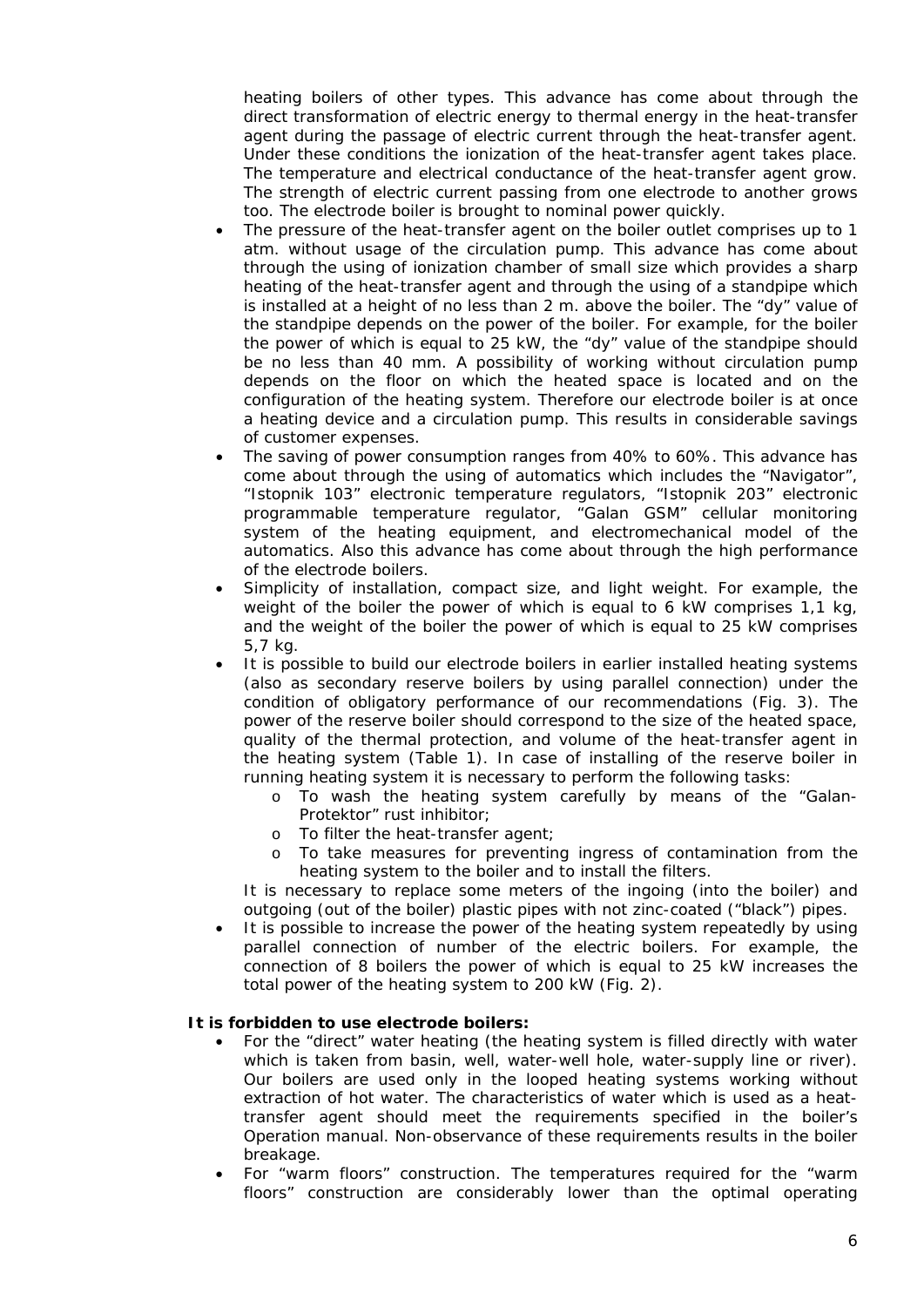heating boilers of other types. This advance has come about through the direct transformation of electric energy to thermal energy in the heat-transfer agent during the passage of electric current through the heat-transfer agent. Under these conditions the ionization of the heat-transfer agent takes place. The temperature and electrical conductance of the heat-transfer agent grow. The strength of electric current passing from one electrode to another grows too. The electrode boiler is brought to nominal power quickly.

- The pressure of the heat-transfer agent on the boiler outlet comprises up to 1 atm. without usage of the circulation pump. This advance has come about through the using of ionization chamber of small size which provides a sharp heating of the heat-transfer agent and through the using of a standpipe which is installed at a height of no less than 2 m. above the boiler. The "dy" value of the standpipe depends on the power of the boiler. For example, for the boiler the power of which is equal to 25 kW, the "dy" value of the standpipe should be no less than 40 mm. A possibility of working without circulation pump depends on the floor on which the heated space is located and on the configuration of the heating system. Therefore our electrode boiler is at once a heating device and a circulation pump. This results in considerable savings of customer expenses.
- The saving of power consumption ranges from 40% to 60%. This advance has come about through the using of automatics which includes the "Navigator", "Istopnik 103" electronic temperature regulators, "Istopnik 203" electronic programmable temperature regulator, "Galan GSM" cellular monitoring system of the heating equipment, and electromechanical model of the automatics. Also this advance has come about through the high performance of the electrode boilers.
- Simplicity of installation, compact size, and light weight. For example, the weight of the boiler the power of which is equal to 6 kW comprises 1,1 kg, and the weight of the boiler the power of which is equal to 25 kW comprises 5,7 kg.
- It is possible to build our electrode boilers in earlier installed heating systems (also as secondary reserve boilers by using parallel connection) under the condition of obligatory performance of our recommendations (Fig. 3). The power of the reserve boiler should correspond to the size of the heated space, quality of the thermal protection, and volume of the heat-transfer agent in the heating system (Table 1). In case of installing of the reserve boiler in running heating system it is necessary to perform the following tasks:
	- o To wash the heating system carefully by means of the "Galan-Protektor" rust inhibitor;
	- o To filter the heat-transfer agent;
	- o To take measures for preventing ingress of contamination from the heating system to the boiler and to install the filters.

It is necessary to replace some meters of the ingoing (into the boiler) and outgoing (out of the boiler) plastic pipes with not zinc-coated ("black") pipes.

• It is possible to increase the power of the heating system repeatedly by using parallel connection of number of the electric boilers. For example, the connection of 8 boilers the power of which is equal to 25 kW increases the total power of the heating system to 200 kW (Fig. 2).

# **It is forbidden to use electrode boilers:**

- For the "direct" water heating (the heating system is filled directly with water which is taken from basin, well, water-well hole, water-supply line or river). Our boilers are used only in the looped heating systems working without extraction of hot water. The characteristics of water which is used as a heattransfer agent should meet the requirements specified in the boiler's Operation manual. Non-observance of these requirements results in the boiler breakage.
- For "warm floors" construction. The temperatures required for the "warm floors" construction are considerably lower than the optimal operating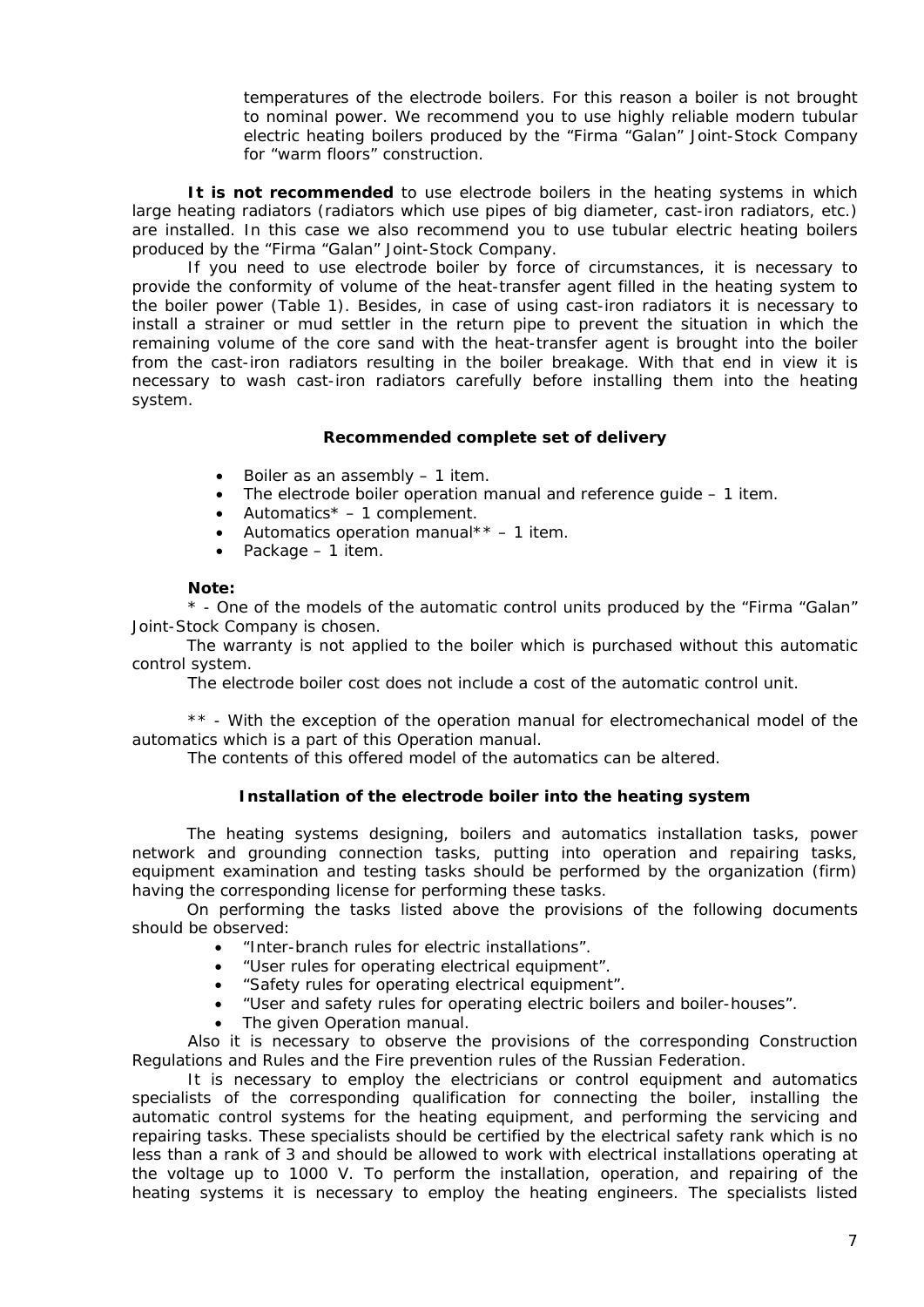temperatures of the electrode boilers. For this reason a boiler is not brought to nominal power. We recommend you to use highly reliable modern tubular electric heating boilers produced by the "Firma "Galan" Joint-Stock Company for "warm floors" construction.

**It is not recommended** to use electrode boilers in the heating systems in which large heating radiators (radiators which use pipes of big diameter, cast-iron radiators, etc.) are installed. In this case we also recommend you to use tubular electric heating boilers produced by the "Firma "Galan" Joint-Stock Company.

If you need to use electrode boiler by force of circumstances, it is necessary to provide the conformity of volume of the heat-transfer agent filled in the heating system to the boiler power (Table 1). Besides, in case of using cast-iron radiators it is necessary to install a strainer or mud settler in the return pipe to prevent the situation in which the remaining volume of the core sand with the heat-transfer agent is brought into the boiler from the cast-iron radiators resulting in the boiler breakage. With that end in view it is necessary to wash cast-iron radiators carefully before installing them into the heating system.

#### **Recommended complete set of delivery**

- <span id="page-6-0"></span>Boiler as an assembly - 1 item.
- The electrode boiler operation manual and reference guide 1 item.
- Automatics $* 1$  complement.
- Automatics operation manual\*\*  $-1$  item.
- Package 1 item.

#### **Note:**

\* - One of the models of the automatic control units produced by the "Firma "Galan" Joint-Stock Company is chosen.

The warranty is not applied to the boiler which is purchased without this automatic control system.

The electrode boiler cost does not include a cost of the automatic control unit.

\*\* - With the exception of the operation manual for electromechanical model of the automatics which is a part of this Operation manual.

The contents of this offered model of the automatics can be altered.

#### **Installation of the electrode boiler into the heating system**

<span id="page-6-1"></span>The heating systems designing, boilers and automatics installation tasks, power network and grounding connection tasks, putting into operation and repairing tasks, equipment examination and testing tasks should be performed by the organization (firm) having the corresponding license for performing these tasks.

On performing the tasks listed above the provisions of the following documents should be observed:

- "Inter-branch rules for electric installations".
- "User rules for operating electrical equipment".<br>• "Safety rules for operating electrical equipment
- "Safety rules for operating electrical equipment".
- "User and safety rules for operating electric boilers and boiler-houses".
- The given Operation manual.

Also it is necessary to observe the provisions of the corresponding Construction Regulations and Rules and the Fire prevention rules of the Russian Federation.

It is necessary to employ the electricians or control equipment and automatics specialists of the corresponding qualification for connecting the boiler, installing the automatic control systems for the heating equipment, and performing the servicing and repairing tasks. These specialists should be certified by the electrical safety rank which is no less than a rank of 3 and should be allowed to work with electrical installations operating at the voltage up to 1000 V. To perform the installation, operation, and repairing of the heating systems it is necessary to employ the heating engineers. The specialists listed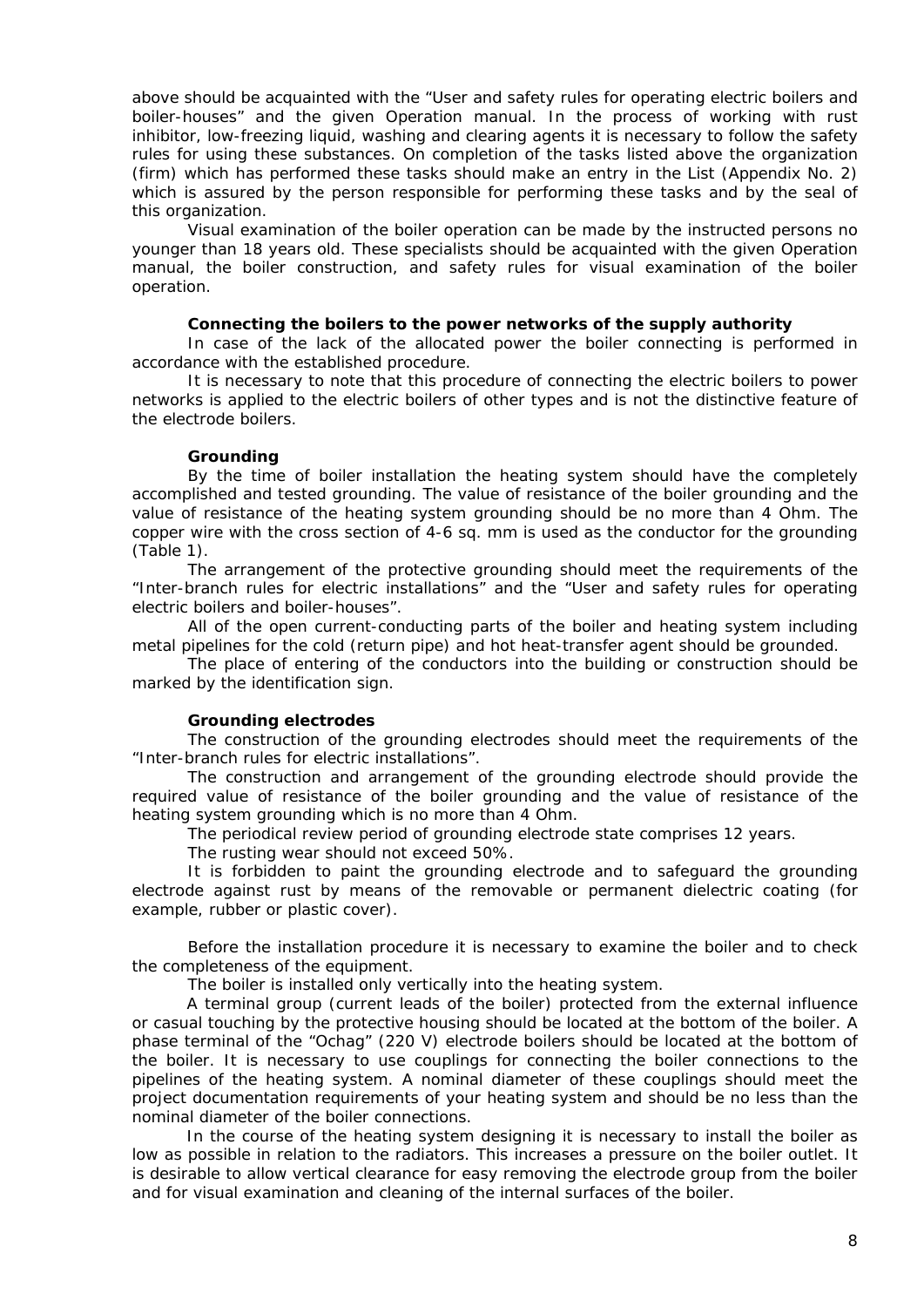above should be acquainted with the "User and safety rules for operating electric boilers and boiler-houses" and the given Operation manual. In the process of working with rust inhibitor, low-freezing liquid, washing and clearing agents it is necessary to follow the safety rules for using these substances. On completion of the tasks listed above the organization (firm) which has performed these tasks should make an entry in the List (Appendix No. 2) which is assured by the person responsible for performing these tasks and by the seal of this organization.

Visual examination of the boiler operation can be made by the instructed persons no younger than 18 years old. These specialists should be acquainted with the given Operation manual, the boiler construction, and safety rules for visual examination of the boiler operation.

#### **Connecting the boilers to the power networks of the supply authority**

In case of the lack of the allocated power the boiler connecting is performed in accordance with the established procedure.

It is necessary to note that this procedure of connecting the electric boilers to power networks is applied to the electric boilers of other types and is not the distinctive feature of the electrode boilers.

#### **Grounding**

By the time of boiler installation the heating system should have the completely accomplished and tested grounding. The value of resistance of the boiler grounding and the value of resistance of the heating system grounding should be no more than 4 Ohm. The copper wire with the cross section of 4-6 sq. mm is used as the conductor for the grounding (Table 1).

The arrangement of the protective grounding should meet the requirements of the "Inter-branch rules for electric installations" and the "User and safety rules for operating electric boilers and boiler-houses".

All of the open current-conducting parts of the boiler and heating system including metal pipelines for the cold (return pipe) and hot heat-transfer agent should be grounded.

The place of entering of the conductors into the building or construction should be marked by the identification sign.

#### **Grounding electrodes**

The construction of the grounding electrodes should meet the requirements of the "Inter-branch rules for electric installations".

The construction and arrangement of the grounding electrode should provide the required value of resistance of the boiler grounding and the value of resistance of the heating system grounding which is no more than 4 Ohm.

The periodical review period of grounding electrode state comprises 12 years.

The rusting wear should not exceed 50%.

It is forbidden to paint the grounding electrode and to safeguard the grounding electrode against rust by means of the removable or permanent dielectric coating (for example, rubber or plastic cover).

Before the installation procedure it is necessary to examine the boiler and to check the completeness of the equipment.

The boiler is installed only vertically into the heating system.

A terminal group (current leads of the boiler) protected from the external influence or casual touching by the protective housing should be located at the bottom of the boiler. A phase terminal of the "Ochag" (220 V) electrode boilers should be located at the bottom of the boiler. It is necessary to use couplings for connecting the boiler connections to the pipelines of the heating system. A nominal diameter of these couplings should meet the project documentation requirements of your heating system and should be no less than the nominal diameter of the boiler connections.

In the course of the heating system designing it is necessary to install the boiler as low as possible in relation to the radiators. This increases a pressure on the boiler outlet. It is desirable to allow vertical clearance for easy removing the electrode group from the boiler and for visual examination and cleaning of the internal surfaces of the boiler.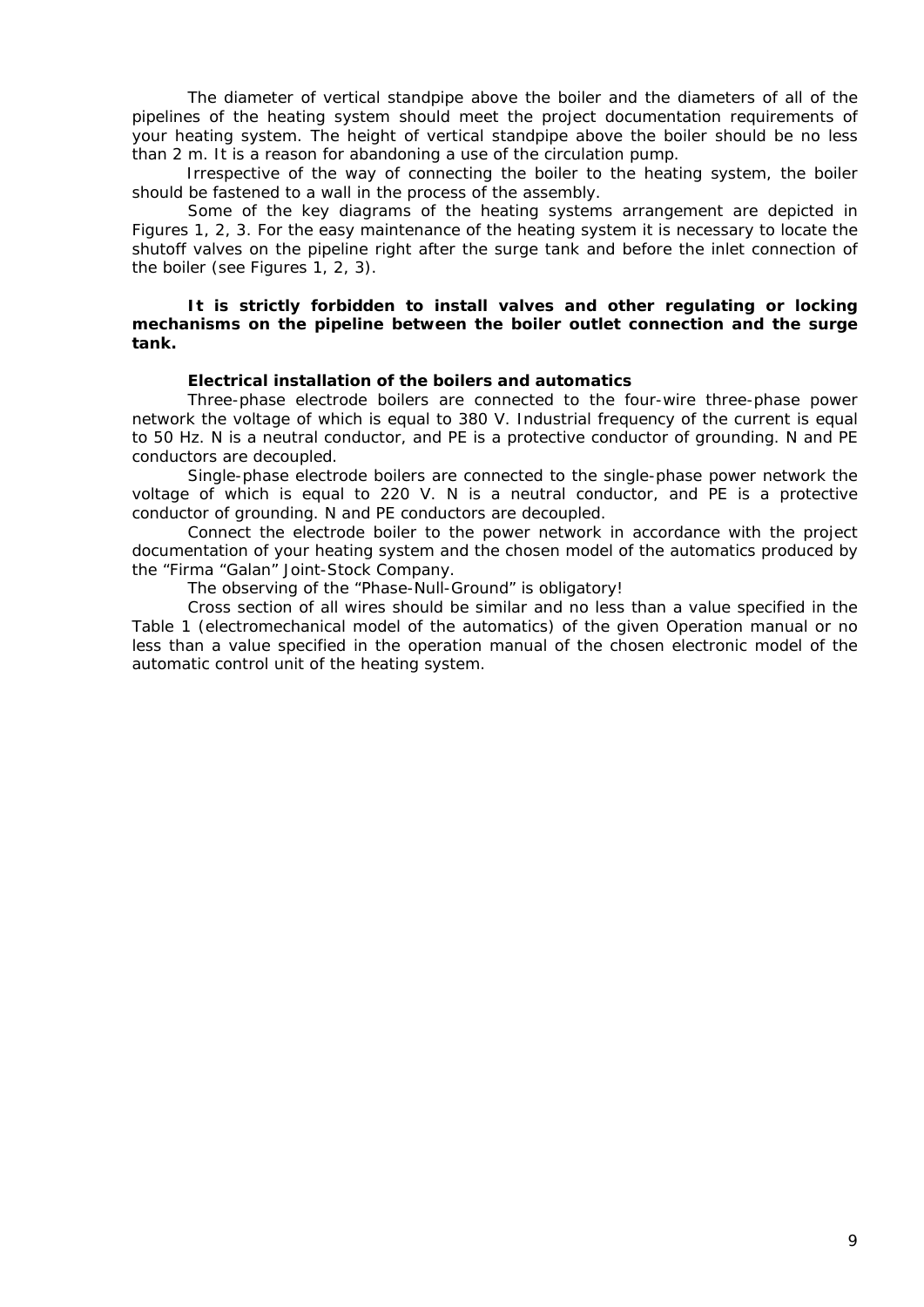The diameter of vertical standpipe above the boiler and the diameters of all of the pipelines of the heating system should meet the project documentation requirements of your heating system. The height of vertical standpipe above the boiler should be no less than 2 m. It is a reason for abandoning a use of the circulation pump.

Irrespective of the way of connecting the boiler to the heating system, the boiler should be fastened to a wall in the process of the assembly.

Some of the key diagrams of the heating systems arrangement are depicted in Figures 1, 2, 3. For the easy maintenance of the heating system it is necessary to locate the shutoff valves on the pipeline right after the surge tank and before the inlet connection of the boiler (see Figures 1, 2, 3).

**It is strictly forbidden to install valves and other regulating or locking mechanisms on the pipeline between the boiler outlet connection and the surge tank.** 

#### **Electrical installation of the boilers and automatics**

Three-phase electrode boilers are connected to the four-wire three-phase power network the voltage of which is equal to 380 V. Industrial frequency of the current is equal to 50 Hz. N is a neutral conductor, and PE is a protective conductor of grounding. N and PE conductors are decoupled.

Single-phase electrode boilers are connected to the single-phase power network the voltage of which is equal to 220 V. N is a neutral conductor, and PE is a protective conductor of grounding. N and PE conductors are decoupled.

Connect the electrode boiler to the power network in accordance with the project documentation of your heating system and the chosen model of the automatics produced by the "Firma "Galan" Joint-Stock Company.

The observing of the "Phase-Null-Ground" is obligatory!

Cross section of all wires should be similar and no less than a value specified in the Table 1 (electromechanical model of the automatics) of the given Operation manual or no less than a value specified in the operation manual of the chosen electronic model of the automatic control unit of the heating system.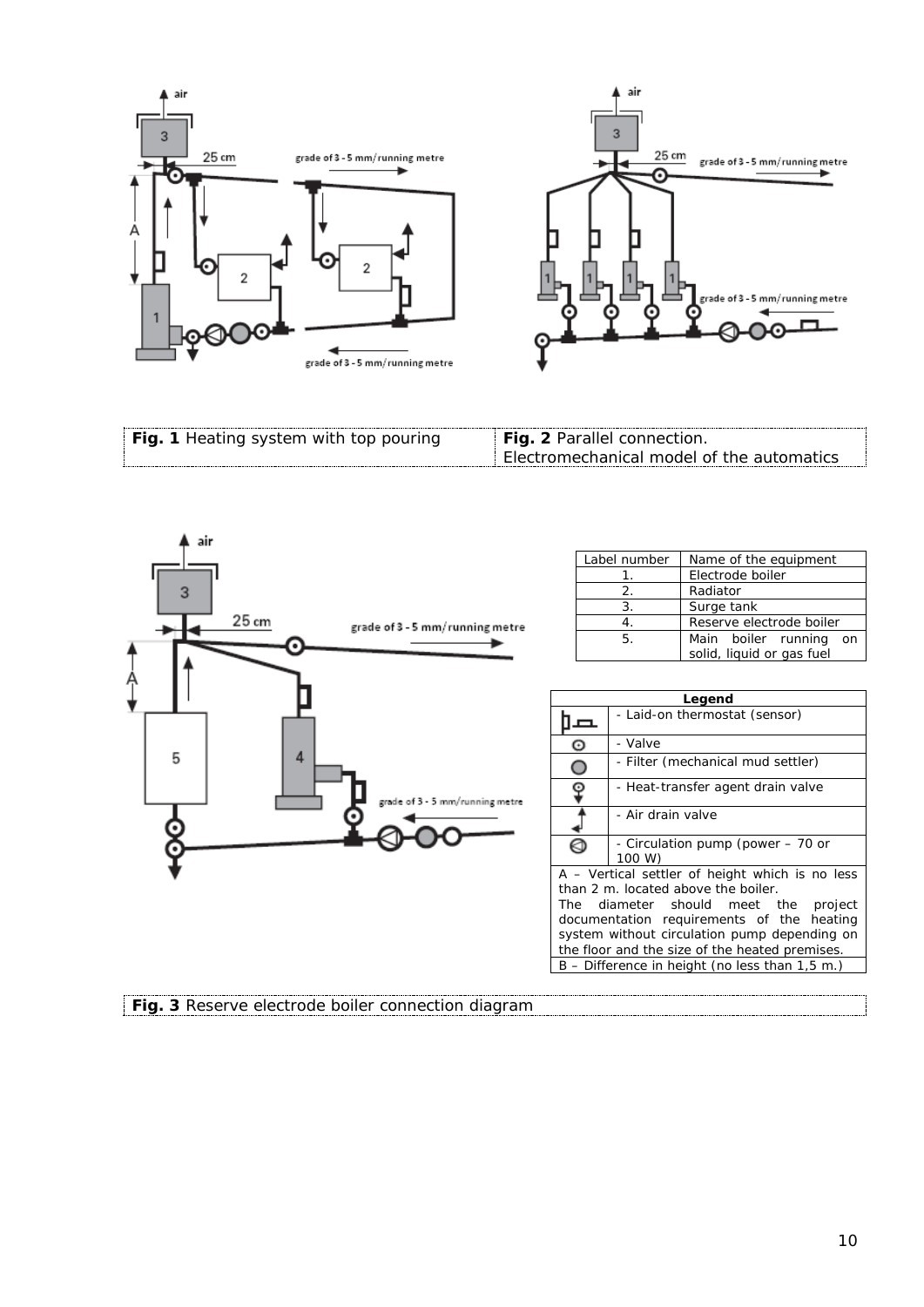



| Fig. 1 Heating system with top pouring | <b>Fig. 2</b> Parallel connection.        |
|----------------------------------------|-------------------------------------------|
|                                        | Electromechanical model of the automatics |



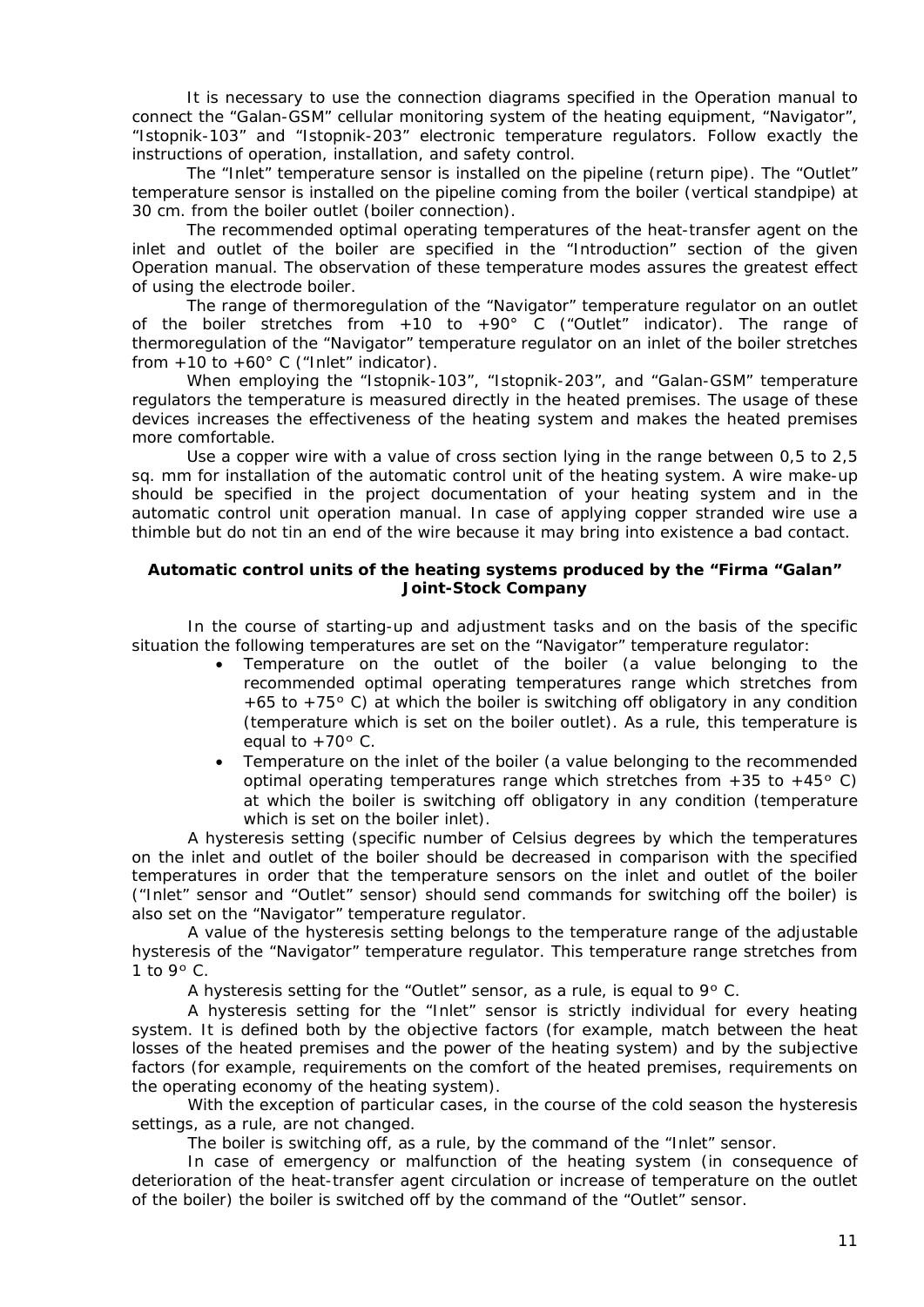It is necessary to use the connection diagrams specified in the Operation manual to connect the "Galan-GSM" cellular monitoring system of the heating equipment, "Navigator", "Istopnik-103" and "Istopnik-203" electronic temperature regulators. Follow exactly the instructions of operation, installation, and safety control.

The "Inlet" temperature sensor is installed on the pipeline (return pipe). The "Outlet" temperature sensor is installed on the pipeline coming from the boiler (vertical standpipe) at 30 cm. from the boiler outlet (boiler connection).

The recommended optimal operating temperatures of the heat-transfer agent on the inlet and outlet of the boiler are specified in the "Introduction" section of the given Operation manual. The observation of these temperature modes assures the greatest effect of using the electrode boiler.

The range of thermoregulation of the "Navigator" temperature regulator on an outlet of the boiler stretches from +10 to +90 $^{\circ}$  C ("Outlet" indicator). The range of thermoregulation of the "Navigator" temperature regulator on an inlet of the boiler stretches from  $+10$  to  $+60^\circ$  C ("Inlet" indicator).

When employing the "Istopnik-103", "Istopnik-203", and "Galan-GSM" temperature regulators the temperature is measured directly in the heated premises. The usage of these devices increases the effectiveness of the heating system and makes the heated premises more comfortable.

Use a copper wire with a value of cross section lying in the range between 0,5 to 2,5 sq. mm for installation of the automatic control unit of the heating system. A wire make-up should be specified in the project documentation of your heating system and in the automatic control unit operation manual. In case of applying copper stranded wire use a thimble but do not tin an end of the wire because it may bring into existence a bad contact.

# <span id="page-10-0"></span>**Automatic control units of the heating systems produced by the "Firma "Galan" Joint-Stock Company**

In the course of starting-up and adjustment tasks and on the basis of the specific situation the following temperatures are set on the "Navigator" temperature regulator:

- Temperature on the outlet of the boiler (a value belonging to the recommended optimal operating temperatures range which stretches from +65 to +75º C) at which the boiler is switching off obligatory in any condition (temperature which is set on the boiler outlet). As a rule, this temperature is equal to  $+70$ ° C.
- Temperature on the inlet of the boiler (a value belonging to the recommended optimal operating temperatures range which stretches from  $+35$  to  $+45^{\circ}$  C) at which the boiler is switching off obligatory in any condition (temperature which is set on the boiler inlet).

A hysteresis setting (specific number of Celsius degrees by which the temperatures on the inlet and outlet of the boiler should be decreased in comparison with the specified temperatures in order that the temperature sensors on the inlet and outlet of the boiler ("Inlet" sensor and "Outlet" sensor) should send commands for switching off the boiler) is also set on the "Navigator" temperature regulator.

A value of the hysteresis setting belongs to the temperature range of the adjustable hysteresis of the "Navigator" temperature regulator. This temperature range stretches from 1 to  $9^\circ$  C.

A hysteresis setting for the "Outlet" sensor, as a rule, is equal to  $9^{\circ}$  C.

A hysteresis setting for the "Inlet" sensor is strictly individual for every heating system. It is defined both by the objective factors (for example, match between the heat losses of the heated premises and the power of the heating system) and by the subjective factors (for example, requirements on the comfort of the heated premises, requirements on the operating economy of the heating system).

With the exception of particular cases, in the course of the cold season the hysteresis settings, as a rule, are not changed.

The boiler is switching off, as a rule, by the command of the "Inlet" sensor.

In case of emergency or malfunction of the heating system (in consequence of deterioration of the heat-transfer agent circulation or increase of temperature on the outlet of the boiler) the boiler is switched off by the command of the "Outlet" sensor.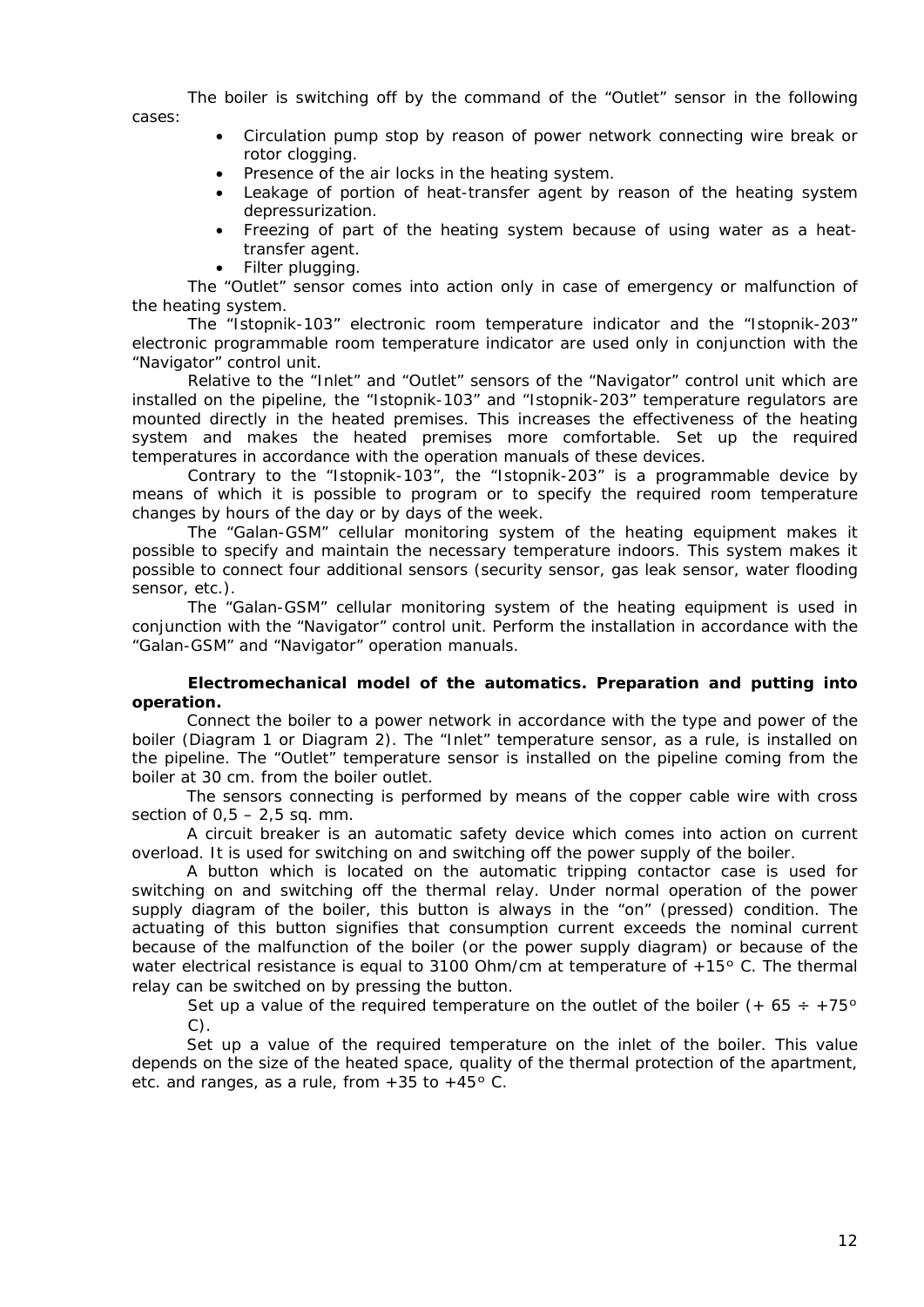The boiler is switching off by the command of the "Outlet" sensor in the following cases:

- Circulation pump stop by reason of power network connecting wire break or rotor clogging.
- Presence of the air locks in the heating system.
- Leakage of portion of heat-transfer agent by reason of the heating system depressurization.
- Freezing of part of the heating system because of using water as a heattransfer agent.
- Filter plugging.

The "Outlet" sensor comes into action only in case of emergency or malfunction of the heating system.

The "Istopnik-103" electronic room temperature indicator and the "Istopnik-203" electronic programmable room temperature indicator are used only in conjunction with the "Navigator" control unit.

Relative to the "Inlet" and "Outlet" sensors of the "Navigator" control unit which are installed on the pipeline, the "Istopnik-103" and "Istopnik-203" temperature regulators are mounted directly in the heated premises. This increases the effectiveness of the heating system and makes the heated premises more comfortable. Set up the required temperatures in accordance with the operation manuals of these devices.

Contrary to the "Istopnik-103", the "Istopnik-203" is a programmable device by means of which it is possible to program or to specify the required room temperature changes by hours of the day or by days of the week.

The "Galan-GSM" cellular monitoring system of the heating equipment makes it possible to specify and maintain the necessary temperature indoors. This system makes it possible to connect four additional sensors (security sensor, gas leak sensor, water flooding sensor, etc.).

The "Galan-GSM" cellular monitoring system of the heating equipment is used in conjunction with the "Navigator" control unit. Perform the installation in accordance with the "Galan-GSM" and "Navigator" operation manuals.

#### **Electromechanical model of the automatics. Preparation and putting into operation.**

Connect the boiler to a power network in accordance with the type and power of the boiler (Diagram 1 or Diagram 2). The "Inlet" temperature sensor, as a rule, is installed on the pipeline. The "Outlet" temperature sensor is installed on the pipeline coming from the boiler at 30 cm. from the boiler outlet.

The sensors connecting is performed by means of the copper cable wire with cross section of  $0.5 - 2.5$  sq. mm.

A circuit breaker is an automatic safety device which comes into action on current overload. It is used for switching on and switching off the power supply of the boiler.

A button which is located on the automatic tripping contactor case is used for switching on and switching off the thermal relay. Under normal operation of the power supply diagram of the boiler, this button is always in the "on" (pressed) condition. The actuating of this button signifies that consumption current exceeds the nominal current because of the malfunction of the boiler (or the power supply diagram) or because of the water electrical resistance is equal to 3100 Ohm/cm at temperature of  $+15$ ° C. The thermal relay can be switched on by pressing the button.

Set up a value of the required temperature on the outlet of the boiler  $(+ 65 \div +75)$ <sup>o</sup> C).

Set up a value of the required temperature on the inlet of the boiler. This value depends on the size of the heated space, quality of the thermal protection of the apartment, etc. and ranges, as a rule, from  $+35$  to  $+45$ ° C.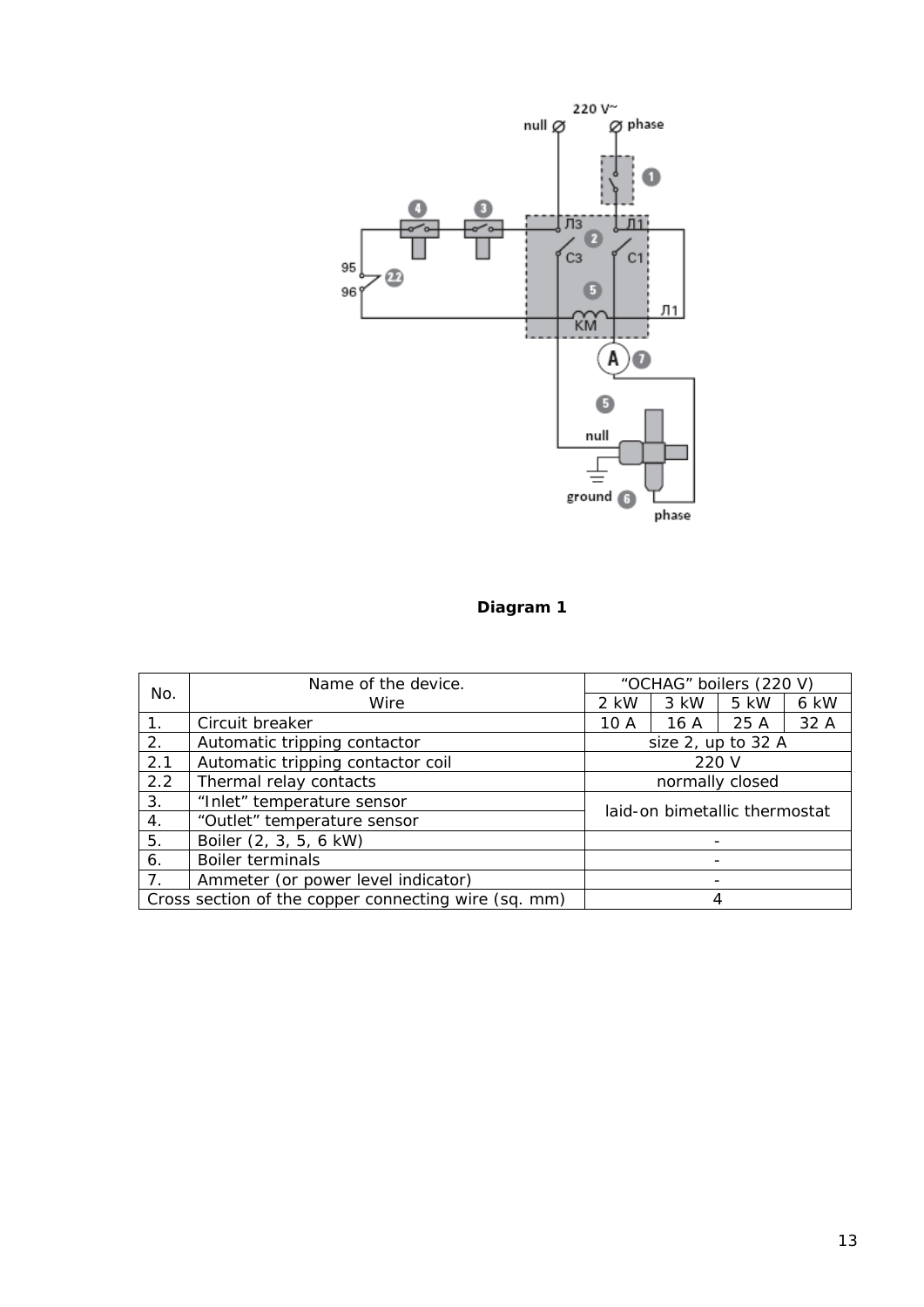

# **Diagram 1**

|                | Name of the device.                                  | "OCHAG" boilers (220 V)       |      |                    |      |  |
|----------------|------------------------------------------------------|-------------------------------|------|--------------------|------|--|
| No.            | Wire                                                 | 2 kW                          | 3 kW | 5 kW               | 6 kW |  |
| 1.             | Circuit breaker                                      | 10 A                          | 16 A | 25 A               | 32 A |  |
| 2.             | Automatic tripping contactor                         |                               |      | size 2, up to 32 A |      |  |
| 2.1            | Automatic tripping contactor coil                    |                               |      | 220 V              |      |  |
| 2.2            | Thermal relay contacts                               | normally closed               |      |                    |      |  |
| 3.             | "Inlet" temperature sensor                           | laid-on bimetallic thermostat |      |                    |      |  |
| 4.             | "Outlet" temperature sensor                          |                               |      |                    |      |  |
| 5.             | Boiler (2, 3, 5, 6 kW)                               |                               |      |                    |      |  |
| 6.             | Boiler terminals                                     |                               |      |                    |      |  |
| 7 <sub>1</sub> | Ammeter (or power level indicator)                   |                               |      |                    |      |  |
|                | Cross section of the copper connecting wire (sq. mm) |                               |      |                    |      |  |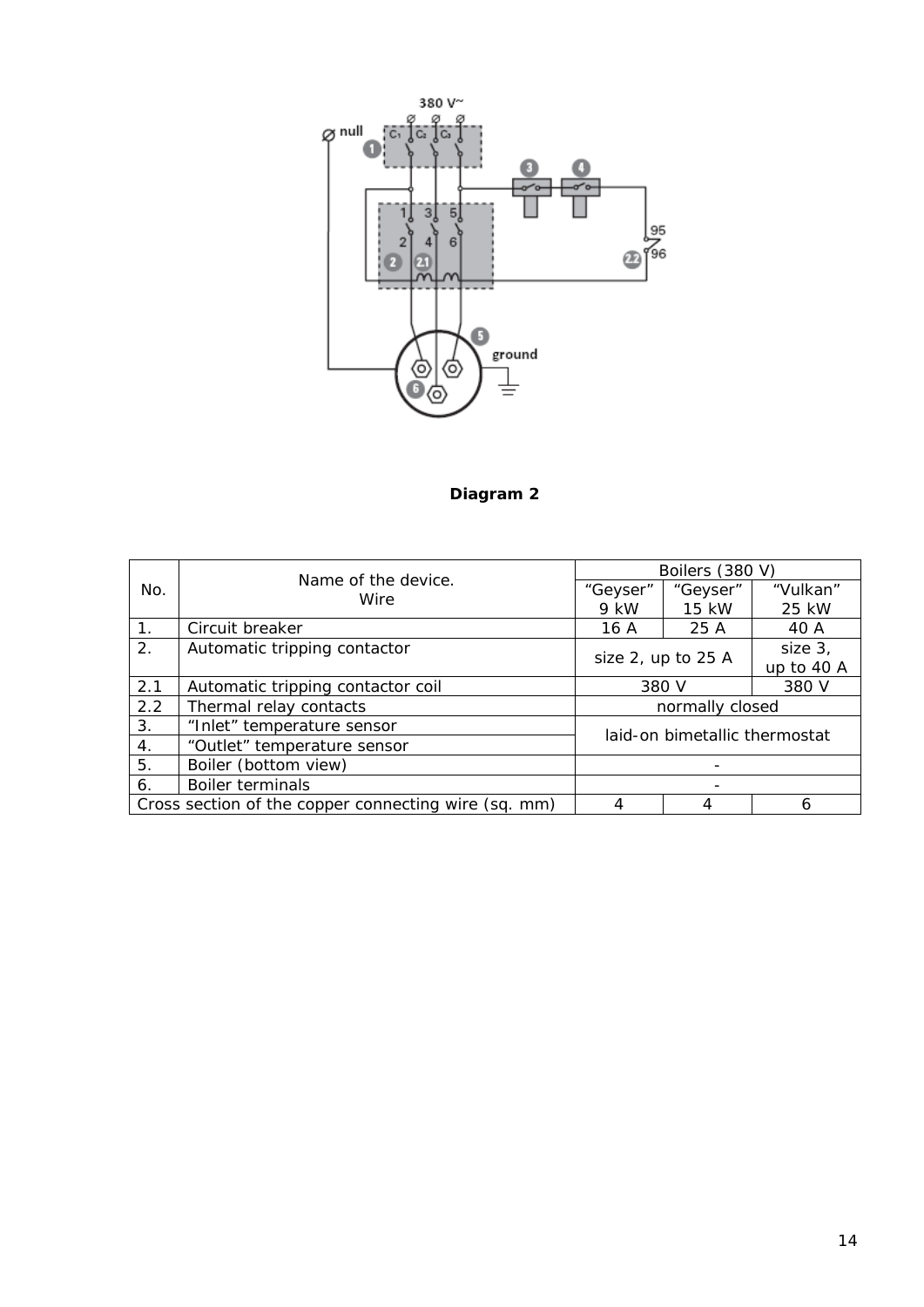

**Diagram 2**

|     |                                                      | Boilers (380 V)               |                                  |          |  |
|-----|------------------------------------------------------|-------------------------------|----------------------------------|----------|--|
| No. | Name of the device.<br>Wire                          | "Geyser"                      | "Geyser"                         | "Vulkan" |  |
|     |                                                      | 9 kW                          | 15 kW                            | 25 kW    |  |
| 1.  | Circuit breaker                                      | 16 A                          | 25 A                             | 40 A     |  |
| 2.  | Automatic tripping contactor                         |                               |                                  | size 3,  |  |
|     |                                                      |                               | size 2, up to 25 A<br>up to 40 A |          |  |
| 2.1 | Automatic tripping contactor coil                    | 380 V<br>380 V                |                                  |          |  |
| 2.2 | Thermal relay contacts                               | normally closed               |                                  |          |  |
| 3.  | "Inlet" temperature sensor                           |                               |                                  |          |  |
| 4.  | "Outlet" temperature sensor                          | laid-on bimetallic thermostat |                                  |          |  |
| 5.  | Boiler (bottom view)                                 |                               |                                  |          |  |
| 6.  | <b>Boiler terminals</b>                              |                               |                                  |          |  |
|     | Cross section of the copper connecting wire (sq. mm) | 4                             |                                  | h        |  |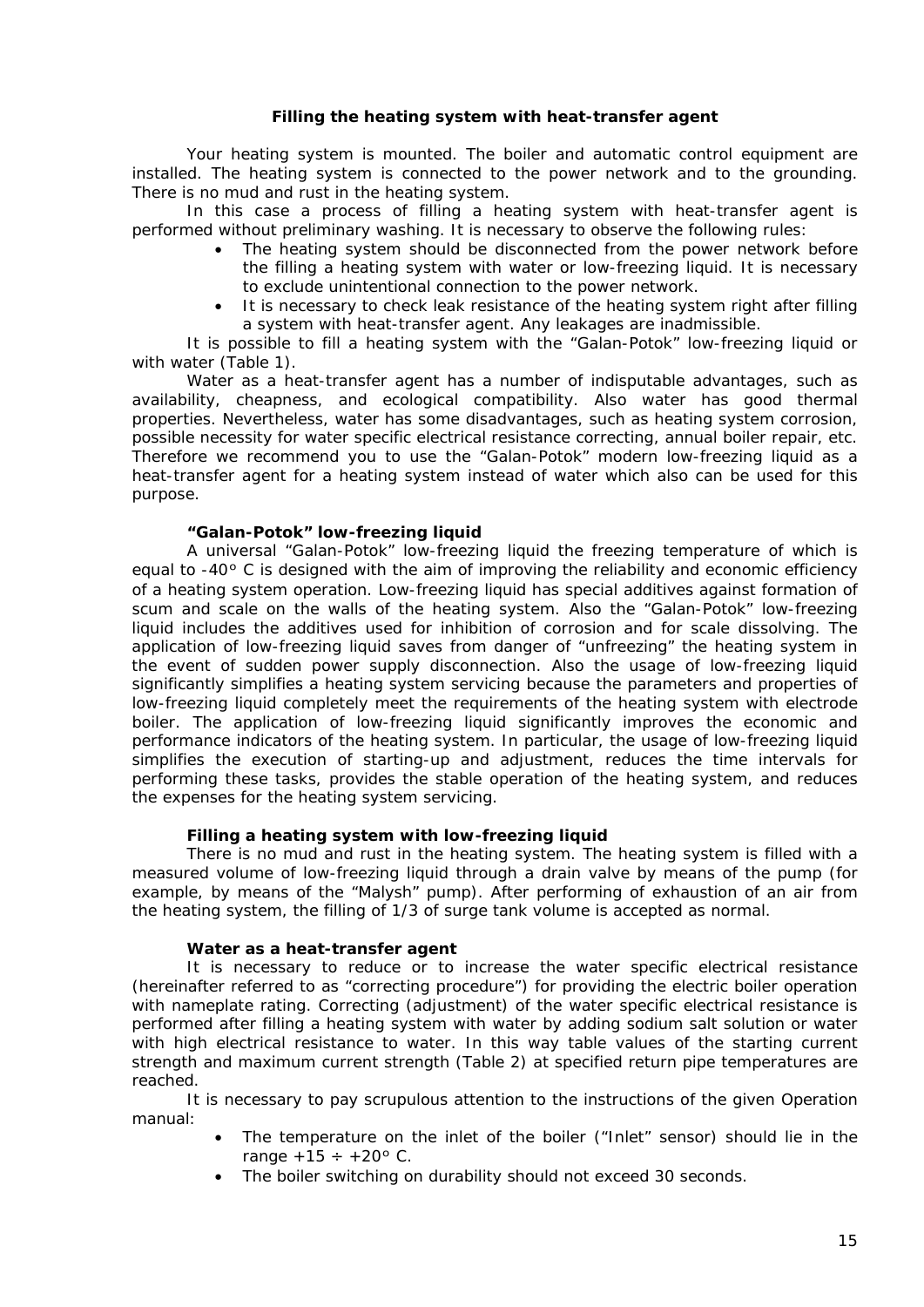# **Filling the heating system with heat-transfer agent**

<span id="page-14-0"></span>Your heating system is mounted. The boiler and automatic control equipment are installed. The heating system is connected to the power network and to the grounding. There is no mud and rust in the heating system.

In this case a process of filling a heating system with heat-transfer agent is performed without preliminary washing. It is necessary to observe the following rules:

- The heating system should be disconnected from the power network before the filling a heating system with water or low-freezing liquid. It is necessary to exclude unintentional connection to the power network.
- It is necessary to check leak resistance of the heating system right after filling a system with heat-transfer agent. Any leakages are inadmissible.

It is possible to fill a heating system with the "Galan-Potok" low-freezing liquid or with water (Table 1).

Water as a heat-transfer agent has a number of indisputable advantages, such as availability, cheapness, and ecological compatibility. Also water has good thermal properties. Nevertheless, water has some disadvantages, such as heating system corrosion, possible necessity for water specific electrical resistance correcting, annual boiler repair, etc. Therefore we recommend you to use the "Galan-Potok" modern low-freezing liquid as a heat-transfer agent for a heating system instead of water which also can be used for this purpose.

#### **"Galan-Potok" low-freezing liquid**

A universal "Galan-Potok" low-freezing liquid the freezing temperature of which is equal to  $-40\degree$  C is designed with the aim of improving the reliability and economic efficiency of a heating system operation. Low-freezing liquid has special additives against formation of scum and scale on the walls of the heating system. Also the "Galan-Potok" low-freezing liquid includes the additives used for inhibition of corrosion and for scale dissolving. The application of low-freezing liquid saves from danger of "unfreezing" the heating system in the event of sudden power supply disconnection. Also the usage of low-freezing liquid significantly simplifies a heating system servicing because the parameters and properties of low-freezing liquid completely meet the requirements of the heating system with electrode boiler. The application of low-freezing liquid significantly improves the economic and performance indicators of the heating system. In particular, the usage of low-freezing liquid simplifies the execution of starting-up and adjustment, reduces the time intervals for performing these tasks, provides the stable operation of the heating system, and reduces the expenses for the heating system servicing.

#### **Filling a heating system with low-freezing liquid**

There is no mud and rust in the heating system. The heating system is filled with a measured volume of low-freezing liquid through a drain valve by means of the pump (for example, by means of the "Malysh" pump). After performing of exhaustion of an air from the heating system, the filling of 1/3 of surge tank volume is accepted as normal.

# **Water as a heat-transfer agent**

It is necessary to reduce or to increase the water specific electrical resistance (hereinafter referred to as "correcting procedure") for providing the electric boiler operation with nameplate rating. Correcting (adjustment) of the water specific electrical resistance is performed after filling a heating system with water by adding sodium salt solution or water with high electrical resistance to water. In this way table values of the starting current strength and maximum current strength (Table 2) at specified return pipe temperatures are reached.

It is necessary to pay scrupulous attention to the instructions of the given Operation manual:

- The temperature on the inlet of the boiler ("Inlet" sensor) should lie in the range  $+15 \div +20$ ° C.
- The boiler switching on durability should not exceed 30 seconds.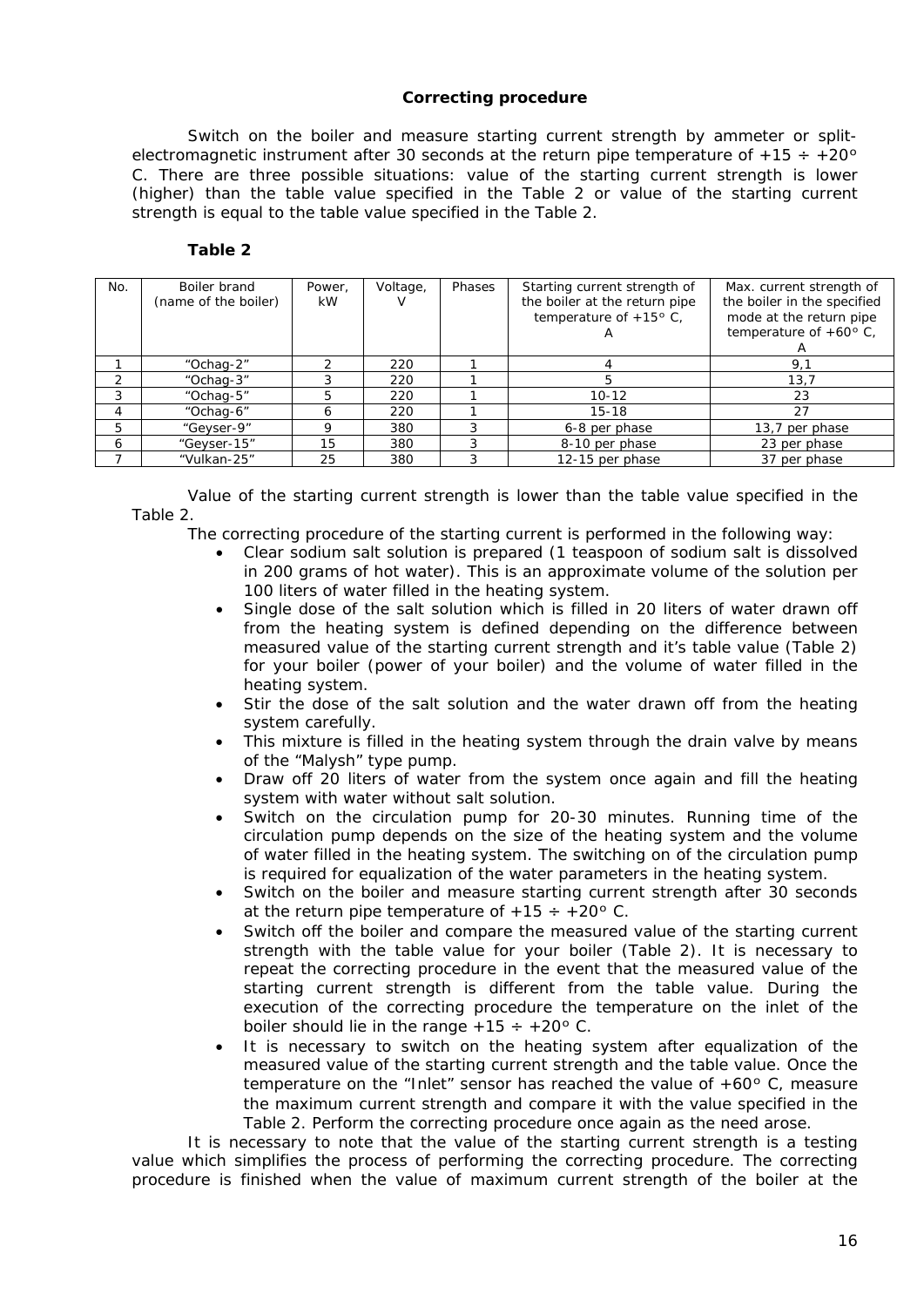# **Correcting procedure**

<span id="page-15-0"></span>Switch on the boiler and measure starting current strength by ammeter or splitelectromagnetic instrument after 30 seconds at the return pipe temperature of  $+15 \div +20^{\circ}$ C. There are three possible situations: value of the starting current strength is lower (higher) than the table value specified in the Table 2 or value of the starting current strength is equal to the table value specified in the Table 2.

**Table 2**

| No. | Boiler brand         | Power. | Voltage, | Phases | Starting current strength of  | Max. current strength of        |
|-----|----------------------|--------|----------|--------|-------------------------------|---------------------------------|
|     | (name of the boiler) | kW.    |          |        | the boiler at the return pipe | the boiler in the specified     |
|     |                      |        |          |        |                               |                                 |
|     |                      |        |          |        | temperature of $+15$ ° C.     | mode at the return pipe         |
|     |                      |        |          |        | $\mathsf{A}$                  | temperature of $+60^{\circ}$ C, |
|     |                      |        |          |        |                               |                                 |
|     | "Ochag-2"            |        | 220      |        |                               | 9,1                             |
|     | "Ochag-3"            |        | 220      |        | 5                             | 13.7                            |
| 3   | "Ochag-5"            |        | 220      |        | $10 - 12$                     | 23                              |
| 4   | "Ochag-6"            | Ô      | 220      |        | $15 - 18$                     | 27                              |
| 5   | "Geyser-9"           | Q      | 380      |        | 6-8 per phase                 | 13,7 per phase                  |
| 6   | "Geyser-15"          | 15     | 380      |        | 8-10 per phase                | 23 per phase                    |
|     | "Vulkan-25"          | 25     | 380      |        | 12-15 per phase               | 37 per phase                    |

Value of the starting current strength is lower than the table value specified in the Table 2.

The correcting procedure of the starting current is performed in the following way:

- Clear sodium salt solution is prepared (1 teaspoon of sodium salt is dissolved in 200 grams of hot water). This is an approximate volume of the solution per 100 liters of water filled in the heating system.
- Single dose of the salt solution which is filled in 20 liters of water drawn off from the heating system is defined depending on the difference between measured value of the starting current strength and it's table value (Table 2) for your boiler (power of your boiler) and the volume of water filled in the heating system.
- Stir the dose of the salt solution and the water drawn off from the heating system carefully.
- This mixture is filled in the heating system through the drain valve by means of the "Malysh" type pump.
- Draw off 20 liters of water from the system once again and fill the heating system with water without salt solution.
- Switch on the circulation pump for 20-30 minutes. Running time of the circulation pump depends on the size of the heating system and the volume of water filled in the heating system. The switching on of the circulation pump is required for equalization of the water parameters in the heating system.
- Switch on the boiler and measure starting current strength after 30 seconds at the return pipe temperature of  $+15 \div +20$ ° C.
- Switch off the boiler and compare the measured value of the starting current strength with the table value for your boiler (Table 2). It is necessary to repeat the correcting procedure in the event that the measured value of the starting current strength is different from the table value. During the execution of the correcting procedure the temperature on the inlet of the boiler should lie in the range  $+15 \div +20$ ° C.
- It is necessary to switch on the heating system after equalization of the measured value of the starting current strength and the table value. Once the temperature on the "Inlet" sensor has reached the value of +60º C, measure the maximum current strength and compare it with the value specified in the Table 2. Perform the correcting procedure once again as the need arose.

It is necessary to note that the value of the starting current strength is a testing value which simplifies the process of performing the correcting procedure. The correcting procedure is finished when the value of maximum current strength of the boiler at the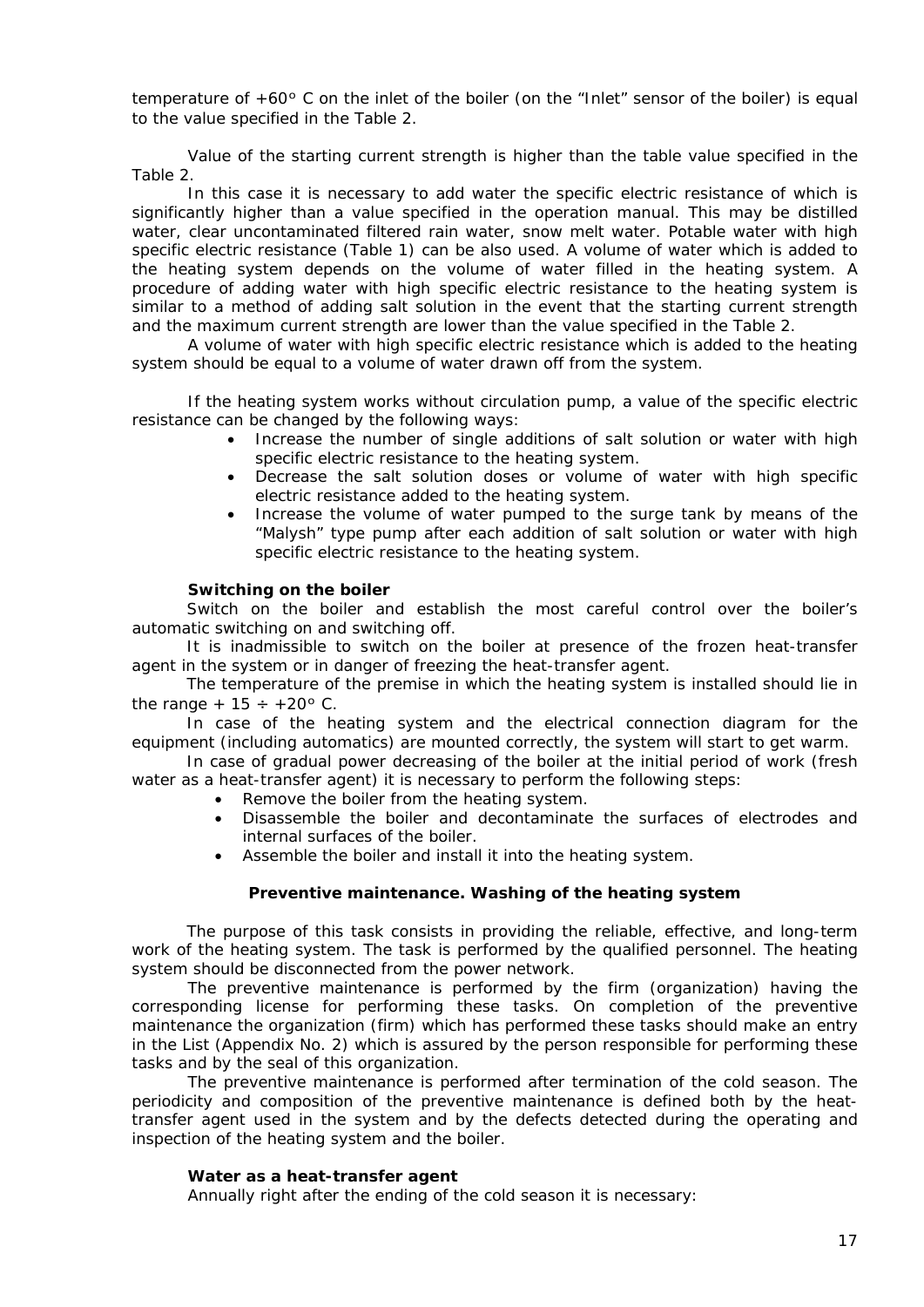temperature of +60º C on the inlet of the boiler (on the "Inlet" sensor of the boiler) is equal to the value specified in the Table 2.

Value of the starting current strength is higher than the table value specified in the Table 2.

In this case it is necessary to add water the specific electric resistance of which is significantly higher than a value specified in the operation manual. This may be distilled water, clear uncontaminated filtered rain water, snow melt water. Potable water with high specific electric resistance (Table 1) can be also used. A volume of water which is added to the heating system depends on the volume of water filled in the heating system. A procedure of adding water with high specific electric resistance to the heating system is similar to a method of adding salt solution in the event that the starting current strength and the maximum current strength are lower than the value specified in the Table 2.

A volume of water with high specific electric resistance which is added to the heating system should be equal to a volume of water drawn off from the system.

If the heating system works without circulation pump, a value of the specific electric resistance can be changed by the following ways:

- Increase the number of single additions of salt solution or water with high specific electric resistance to the heating system.
- Decrease the salt solution doses or volume of water with high specific electric resistance added to the heating system.
- Increase the volume of water pumped to the surge tank by means of the "Malysh" type pump after each addition of salt solution or water with high specific electric resistance to the heating system.

#### **Switching on the boiler**

Switch on the boiler and establish the most careful control over the boiler's automatic switching on and switching off.

It is inadmissible to switch on the boiler at presence of the frozen heat-transfer agent in the system or in danger of freezing the heat-transfer agent.

The temperature of the premise in which the heating system is installed should lie in the range  $+15 \div +20$ ° C.

In case of the heating system and the electrical connection diagram for the equipment (including automatics) are mounted correctly, the system will start to get warm.

In case of gradual power decreasing of the boiler at the initial period of work (fresh water as a heat-transfer agent) it is necessary to perform the following steps:

- Remove the boiler from the heating system.
- Disassemble the boiler and decontaminate the surfaces of electrodes and internal surfaces of the boiler.
- Assemble the boiler and install it into the heating system.

# **Preventive maintenance. Washing of the heating system**

<span id="page-16-0"></span>The purpose of this task consists in providing the reliable, effective, and long-term work of the heating system. The task is performed by the qualified personnel. The heating system should be disconnected from the power network.

The preventive maintenance is performed by the firm (organization) having the corresponding license for performing these tasks. On completion of the preventive maintenance the organization (firm) which has performed these tasks should make an entry in the List (Appendix No. 2) which is assured by the person responsible for performing these tasks and by the seal of this organization.

The preventive maintenance is performed after termination of the cold season. The periodicity and composition of the preventive maintenance is defined both by the heattransfer agent used in the system and by the defects detected during the operating and inspection of the heating system and the boiler.

#### **Water as a heat-transfer agent**

Annually right after the ending of the cold season it is necessary: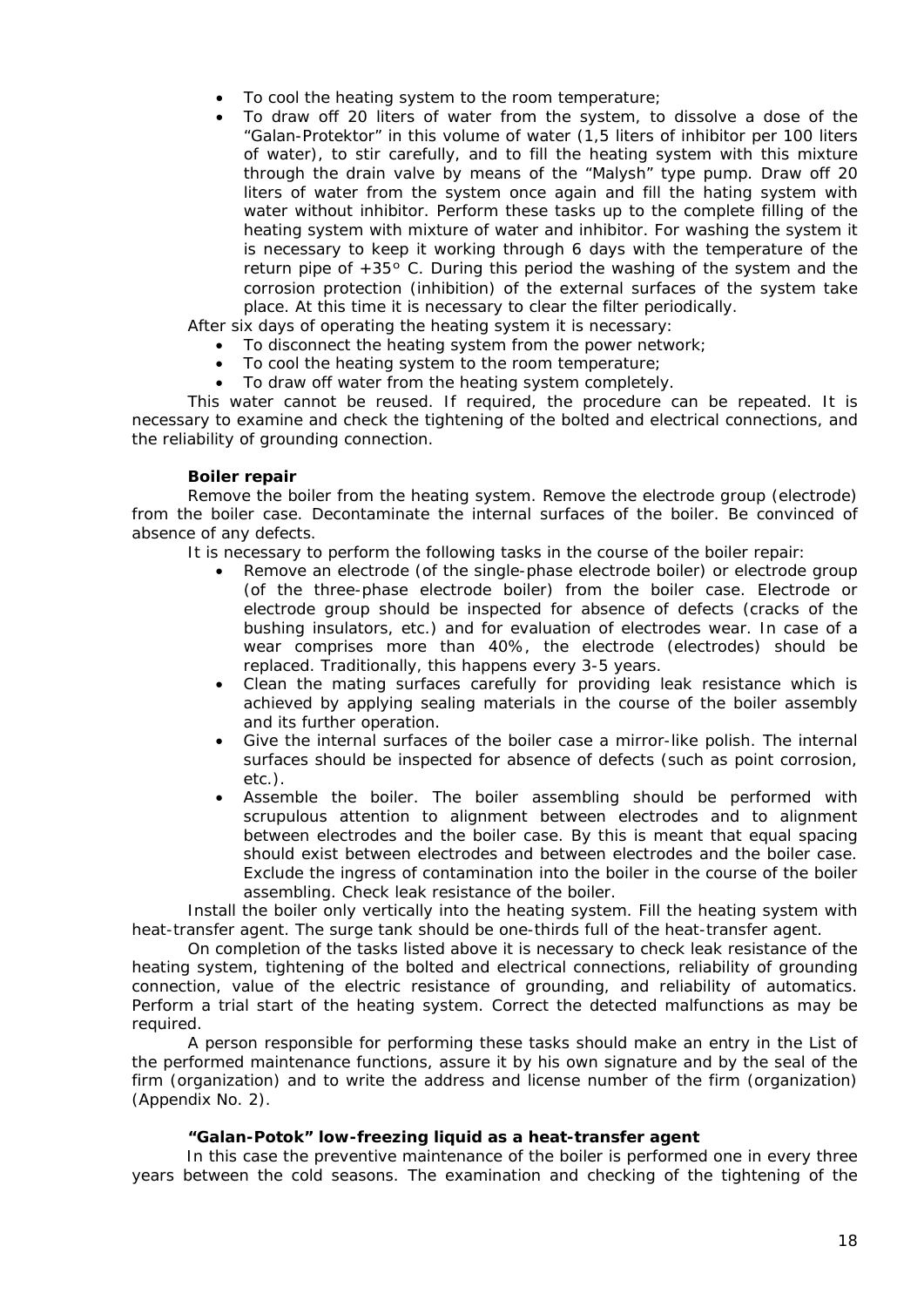- To cool the heating system to the room temperature;
- To draw off 20 liters of water from the system, to dissolve a dose of the "Galan-Protektor" in this volume of water (1,5 liters of inhibitor per 100 liters of water), to stir carefully, and to fill the heating system with this mixture through the drain valve by means of the "Malysh" type pump. Draw off 20 liters of water from the system once again and fill the hating system with water without inhibitor. Perform these tasks up to the complete filling of the heating system with mixture of water and inhibitor. For washing the system it is necessary to keep it working through 6 days with the temperature of the return pipe of +35º C. During this period the washing of the system and the corrosion protection (inhibition) of the external surfaces of the system take place. At this time it is necessary to clear the filter periodically.

After six days of operating the heating system it is necessary:

- To disconnect the heating system from the power network;
- To cool the heating system to the room temperature;
- To draw off water from the heating system completely.

This water cannot be reused. If required, the procedure can be repeated. It is necessary to examine and check the tightening of the bolted and electrical connections, and the reliability of grounding connection.

# **Boiler repair**

Remove the boiler from the heating system. Remove the electrode group (electrode) from the boiler case. Decontaminate the internal surfaces of the boiler. Be convinced of absence of any defects.

It is necessary to perform the following tasks in the course of the boiler repair:

- Remove an electrode (of the single-phase electrode boiler) or electrode group (of the three-phase electrode boiler) from the boiler case. Electrode or electrode group should be inspected for absence of defects (cracks of the bushing insulators, etc.) and for evaluation of electrodes wear. In case of a wear comprises more than 40%, the electrode (electrodes) should be replaced. Traditionally, this happens every 3-5 years.
- Clean the mating surfaces carefully for providing leak resistance which is achieved by applying sealing materials in the course of the boiler assembly and its further operation.
- Give the internal surfaces of the boiler case a mirror-like polish. The internal surfaces should be inspected for absence of defects (such as point corrosion, etc.).
- Assemble the boiler. The boiler assembling should be performed with scrupulous attention to alignment between electrodes and to alignment between electrodes and the boiler case. By this is meant that equal spacing should exist between electrodes and between electrodes and the boiler case. Exclude the ingress of contamination into the boiler in the course of the boiler assembling. Check leak resistance of the boiler.

Install the boiler only vertically into the heating system. Fill the heating system with heat-transfer agent. The surge tank should be one-thirds full of the heat-transfer agent.

On completion of the tasks listed above it is necessary to check leak resistance of the heating system, tightening of the bolted and electrical connections, reliability of grounding connection, value of the electric resistance of grounding, and reliability of automatics. Perform a trial start of the heating system. Correct the detected malfunctions as may be required.

A person responsible for performing these tasks should make an entry in the List of the performed maintenance functions, assure it by his own signature and by the seal of the firm (organization) and to write the address and license number of the firm (organization) (Appendix No. 2).

# **"Galan-Potok" low-freezing liquid as a heat-transfer agent**

In this case the preventive maintenance of the boiler is performed one in every three years between the cold seasons. The examination and checking of the tightening of the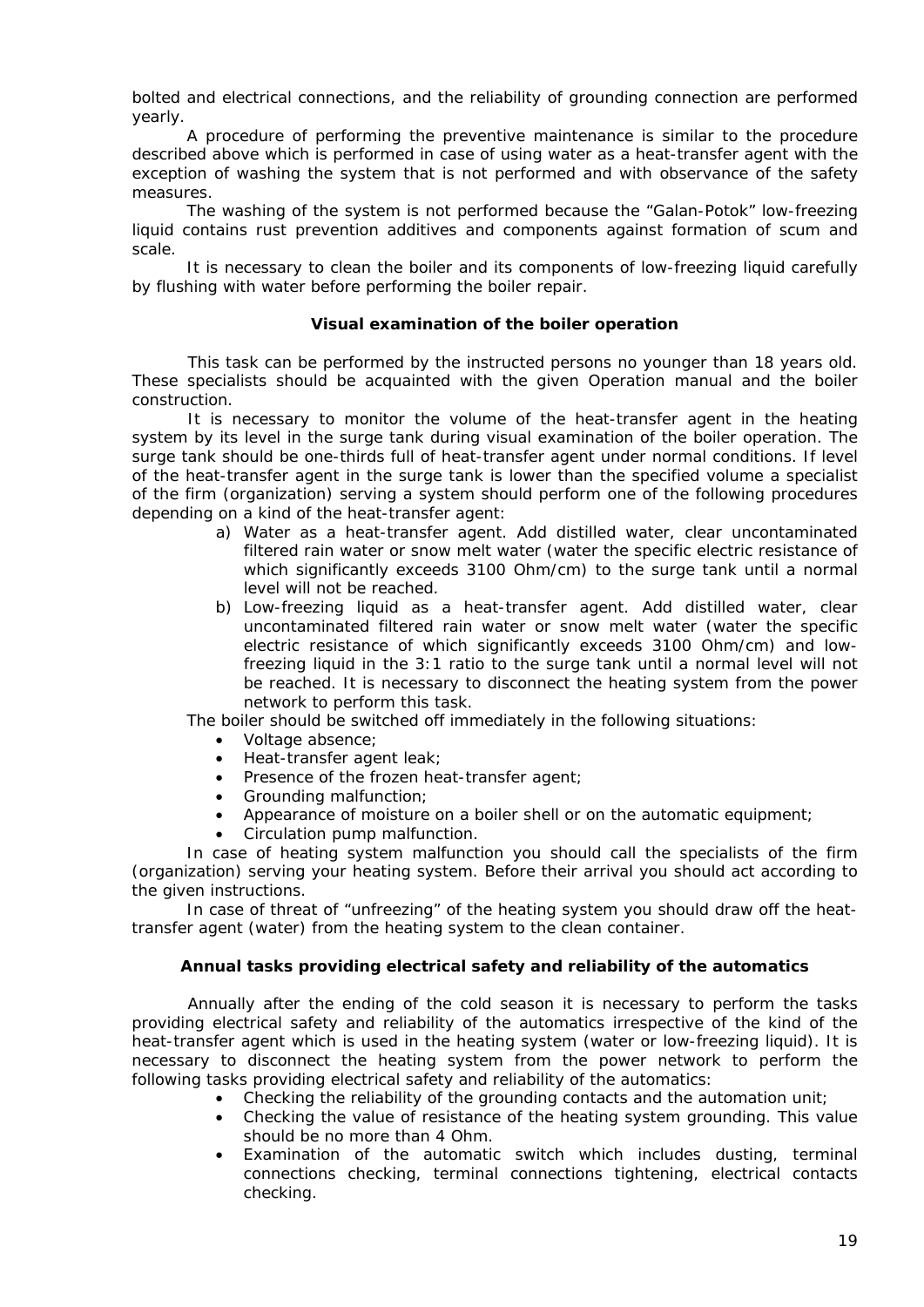bolted and electrical connections, and the reliability of grounding connection are performed yearly.

A procedure of performing the preventive maintenance is similar to the procedure described above which is performed in case of using water as a heat-transfer agent with the exception of washing the system that is not performed and with observance of the safety measures.

The washing of the system is not performed because the "Galan-Potok" low-freezing liquid contains rust prevention additives and components against formation of scum and scale.

It is necessary to clean the boiler and its components of low-freezing liquid carefully by flushing with water before performing the boiler repair.

# **Visual examination of the boiler operation**

<span id="page-18-0"></span>This task can be performed by the instructed persons no younger than 18 years old. These specialists should be acquainted with the given Operation manual and the boiler construction.

It is necessary to monitor the volume of the heat-transfer agent in the heating system by its level in the surge tank during visual examination of the boiler operation. The surge tank should be one-thirds full of heat-transfer agent under normal conditions. If level of the heat-transfer agent in the surge tank is lower than the specified volume a specialist of the firm (organization) serving a system should perform one of the following procedures depending on a kind of the heat-transfer agent:

- a) Water as a heat-transfer agent. Add distilled water, clear uncontaminated filtered rain water or snow melt water (water the specific electric resistance of which significantly exceeds 3100 Ohm/cm) to the surge tank until a normal level will not be reached.
- b) Low-freezing liquid as a heat-transfer agent. Add distilled water, clear uncontaminated filtered rain water or snow melt water (water the specific electric resistance of which significantly exceeds 3100 Ohm/cm) and lowfreezing liquid in the 3:1 ratio to the surge tank until a normal level will not be reached. It is necessary to disconnect the heating system from the power network to perform this task.

The boiler should be switched off immediately in the following situations:

- Voltage absence:
- Heat-transfer agent leak;
- Presence of the frozen heat-transfer agent;
- Grounding malfunction;
- Appearance of moisture on a boiler shell or on the automatic equipment;
- Circulation pump malfunction.

In case of heating system malfunction you should call the specialists of the firm (organization) serving your heating system. Before their arrival you should act according to the given instructions.

In case of threat of "unfreezing" of the heating system you should draw off the heattransfer agent (water) from the heating system to the clean container.

# **Annual tasks providing electrical safety and reliability of the automatics**

<span id="page-18-1"></span>Annually after the ending of the cold season it is necessary to perform the tasks providing electrical safety and reliability of the automatics irrespective of the kind of the heat-transfer agent which is used in the heating system (water or low-freezing liquid). It is necessary to disconnect the heating system from the power network to perform the following tasks providing electrical safety and reliability of the automatics:

- Checking the reliability of the grounding contacts and the automation unit;
- Checking the value of resistance of the heating system grounding. This value should be no more than 4 Ohm.
- Examination of the automatic switch which includes dusting, terminal connections checking, terminal connections tightening, electrical contacts checking.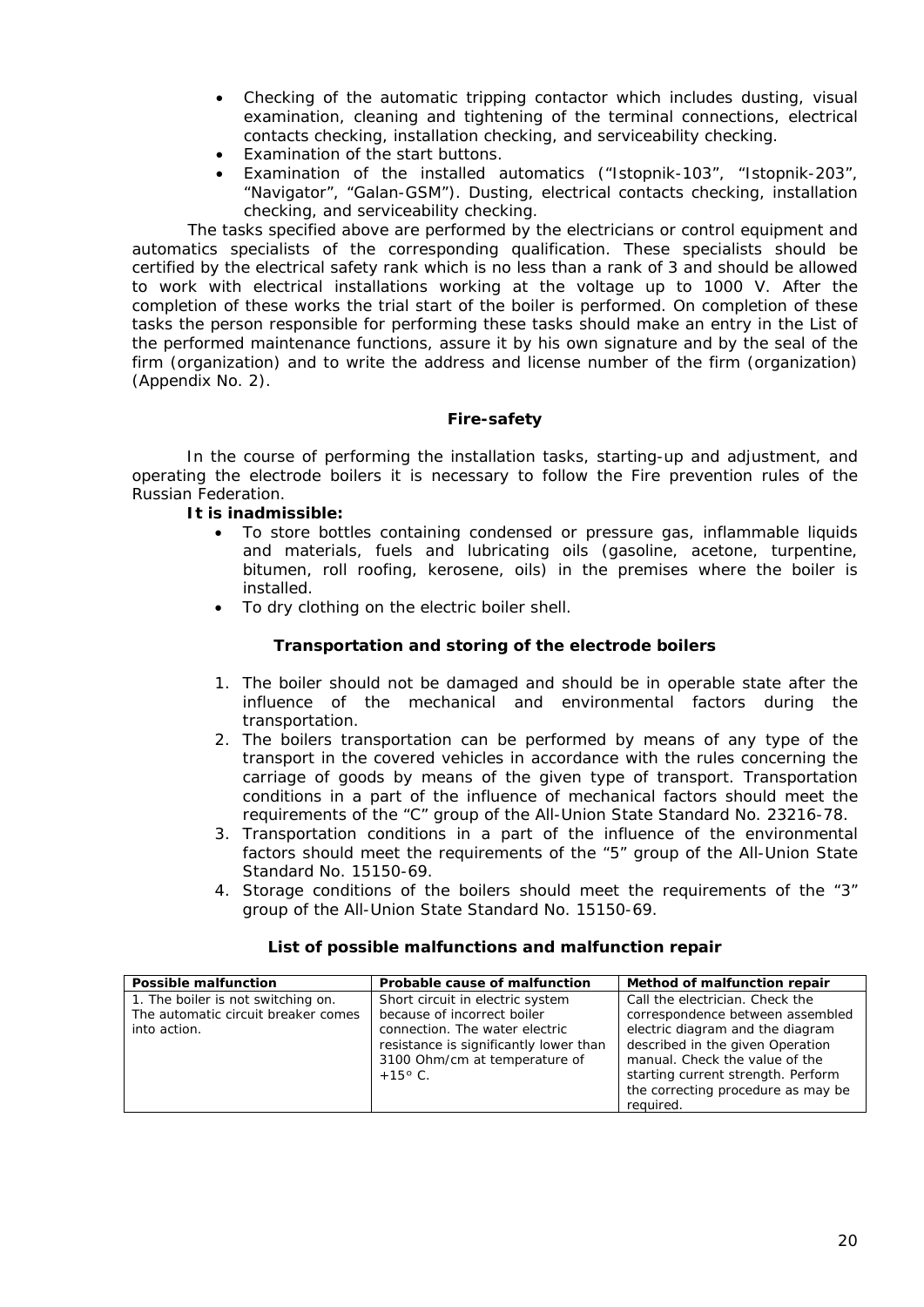- Checking of the automatic tripping contactor which includes dusting, visual examination, cleaning and tightening of the terminal connections, electrical contacts checking, installation checking, and serviceability checking.
- Examination of the start buttons.
- Examination of the installed automatics ("Istopnik-103", "Istopnik-203", "Navigator", "Galan-GSM"). Dusting, electrical contacts checking, installation checking, and serviceability checking.

The tasks specified above are performed by the electricians or control equipment and automatics specialists of the corresponding qualification. These specialists should be certified by the electrical safety rank which is no less than a rank of 3 and should be allowed to work with electrical installations working at the voltage up to 1000 V. After the completion of these works the trial start of the boiler is performed. On completion of these tasks the person responsible for performing these tasks should make an entry in the List of the performed maintenance functions, assure it by his own signature and by the seal of the firm (organization) and to write the address and license number of the firm (organization) (Appendix No. 2).

# **Fire-safety**

<span id="page-19-0"></span>In the course of performing the installation tasks, starting-up and adjustment, and operating the electrode boilers it is necessary to follow the Fire prevention rules of the Russian Federation.

# **It is inadmissible:**

- To store bottles containing condensed or pressure gas, inflammable liquids and materials, fuels and lubricating oils (gasoline, acetone, turpentine, bitumen, roll roofing, kerosene, oils) in the premises where the boiler is installed.
- <span id="page-19-1"></span>• To dry clothing on the electric boiler shell.

# **Transportation and storing of the electrode boilers**

- 1. The boiler should not be damaged and should be in operable state after the influence of the mechanical and environmental factors during the transportation.
- 2. The boilers transportation can be performed by means of any type of the transport in the covered vehicles in accordance with the rules concerning the carriage of goods by means of the given type of transport. Transportation conditions in a part of the influence of mechanical factors should meet the requirements of the "C" group of the All-Union State Standard No. 23216-78.
- 3. Transportation conditions in a part of the influence of the environmental factors should meet the requirements of the "5" group of the All-Union State Standard No. 15150-69.
- 4. Storage conditions of the boilers should meet the requirements of the "3" group of the All-Union State Standard No. 15150-69.

<span id="page-19-2"></span>

| <b>Possible malfunction</b>         | Probable cause of malfunction          | Method of malfunction repair       |
|-------------------------------------|----------------------------------------|------------------------------------|
| 1. The boiler is not switching on.  | Short circuit in electric system       | Call the electrician. Check the    |
| The automatic circuit breaker comes | because of incorrect boiler            | correspondence between assembled   |
| into action.                        | connection. The water electric         | electric diagram and the diagram   |
|                                     | resistance is significantly lower than | described in the given Operation   |
|                                     | 3100 Ohm/cm at temperature of          | manual. Check the value of the     |
|                                     | $+15^{\circ}$ C.                       | starting current strength. Perform |
|                                     |                                        | the correcting procedure as may be |
|                                     |                                        | required.                          |

# **List of possible malfunctions and malfunction repair**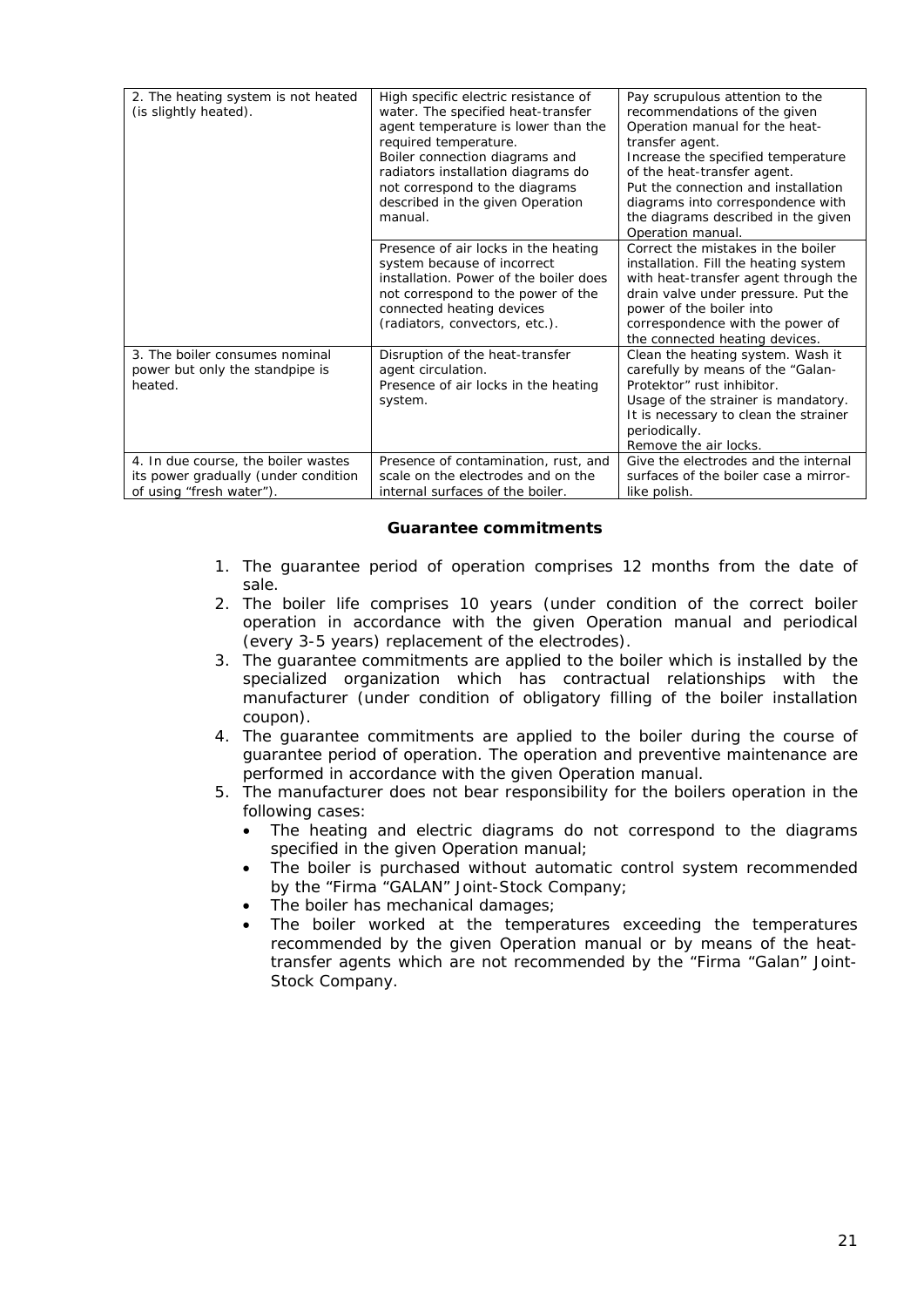| 2. The heating system is not heated<br>(is slightly heated). | High specific electric resistance of<br>water. The specified heat-transfer<br>agent temperature is lower than the<br>required temperature.<br>Boiler connection diagrams and<br>radiators installation diagrams do<br>not correspond to the diagrams<br>described in the given Operation<br>manual.<br>Presence of air locks in the heating | Pay scrupulous attention to the<br>recommendations of the given<br>Operation manual for the heat-<br>transfer agent.<br>Increase the specified temperature<br>of the heat-transfer agent.<br>Put the connection and installation<br>diagrams into correspondence with<br>the diagrams described in the given<br>Operation manual.<br>Correct the mistakes in the boiler |
|--------------------------------------------------------------|---------------------------------------------------------------------------------------------------------------------------------------------------------------------------------------------------------------------------------------------------------------------------------------------------------------------------------------------|-------------------------------------------------------------------------------------------------------------------------------------------------------------------------------------------------------------------------------------------------------------------------------------------------------------------------------------------------------------------------|
|                                                              | system because of incorrect<br>installation. Power of the boiler does                                                                                                                                                                                                                                                                       | installation. Fill the heating system                                                                                                                                                                                                                                                                                                                                   |
|                                                              | not correspond to the power of the                                                                                                                                                                                                                                                                                                          | with heat-transfer agent through the<br>drain valve under pressure. Put the                                                                                                                                                                                                                                                                                             |
|                                                              | connected heating devices                                                                                                                                                                                                                                                                                                                   | power of the boiler into                                                                                                                                                                                                                                                                                                                                                |
|                                                              | (radiators, convectors, etc.).                                                                                                                                                                                                                                                                                                              | correspondence with the power of<br>the connected heating devices.                                                                                                                                                                                                                                                                                                      |
| 3. The boiler consumes nominal                               | Disruption of the heat-transfer                                                                                                                                                                                                                                                                                                             | Clean the heating system. Wash it                                                                                                                                                                                                                                                                                                                                       |
| power but only the standpipe is                              | agent circulation.                                                                                                                                                                                                                                                                                                                          | carefully by means of the "Galan-                                                                                                                                                                                                                                                                                                                                       |
| heated.                                                      | Presence of air locks in the heating                                                                                                                                                                                                                                                                                                        | Protektor" rust inhibitor.                                                                                                                                                                                                                                                                                                                                              |
|                                                              | system.                                                                                                                                                                                                                                                                                                                                     | Usage of the strainer is mandatory.                                                                                                                                                                                                                                                                                                                                     |
|                                                              |                                                                                                                                                                                                                                                                                                                                             | It is necessary to clean the strainer                                                                                                                                                                                                                                                                                                                                   |
|                                                              |                                                                                                                                                                                                                                                                                                                                             | periodically.                                                                                                                                                                                                                                                                                                                                                           |
|                                                              |                                                                                                                                                                                                                                                                                                                                             | Remove the air locks.                                                                                                                                                                                                                                                                                                                                                   |
| 4. In due course, the boiler wastes                          | Presence of contamination, rust, and                                                                                                                                                                                                                                                                                                        | Give the electrodes and the internal                                                                                                                                                                                                                                                                                                                                    |
| its power gradually (under condition                         | scale on the electrodes and on the                                                                                                                                                                                                                                                                                                          | surfaces of the boiler case a mirror-                                                                                                                                                                                                                                                                                                                                   |
| of using "fresh water").                                     | internal surfaces of the boiler.                                                                                                                                                                                                                                                                                                            | like polish.                                                                                                                                                                                                                                                                                                                                                            |

# **Guarantee commitments**

- <span id="page-20-0"></span>1. The guarantee period of operation comprises 12 months from the date of sale.
- 2. The boiler life comprises 10 years (under condition of the correct boiler operation in accordance with the given Operation manual and periodical (every 3-5 years) replacement of the electrodes).
- 3. The guarantee commitments are applied to the boiler which is installed by the specialized organization which has contractual relationships with the manufacturer (under condition of obligatory filling of the boiler installation coupon).
- 4. The guarantee commitments are applied to the boiler during the course of guarantee period of operation. The operation and preventive maintenance are performed in accordance with the given Operation manual.
- 5. The manufacturer does not bear responsibility for the boilers operation in the following cases:
	- The heating and electric diagrams do not correspond to the diagrams specified in the given Operation manual;
	- The boiler is purchased without automatic control system recommended by the "Firma "GALAN" Joint-Stock Company;
	- The boiler has mechanical damages;
	- The boiler worked at the temperatures exceeding the temperatures recommended by the given Operation manual or by means of the heattransfer agents which are not recommended by the "Firma "Galan" Joint-Stock Company.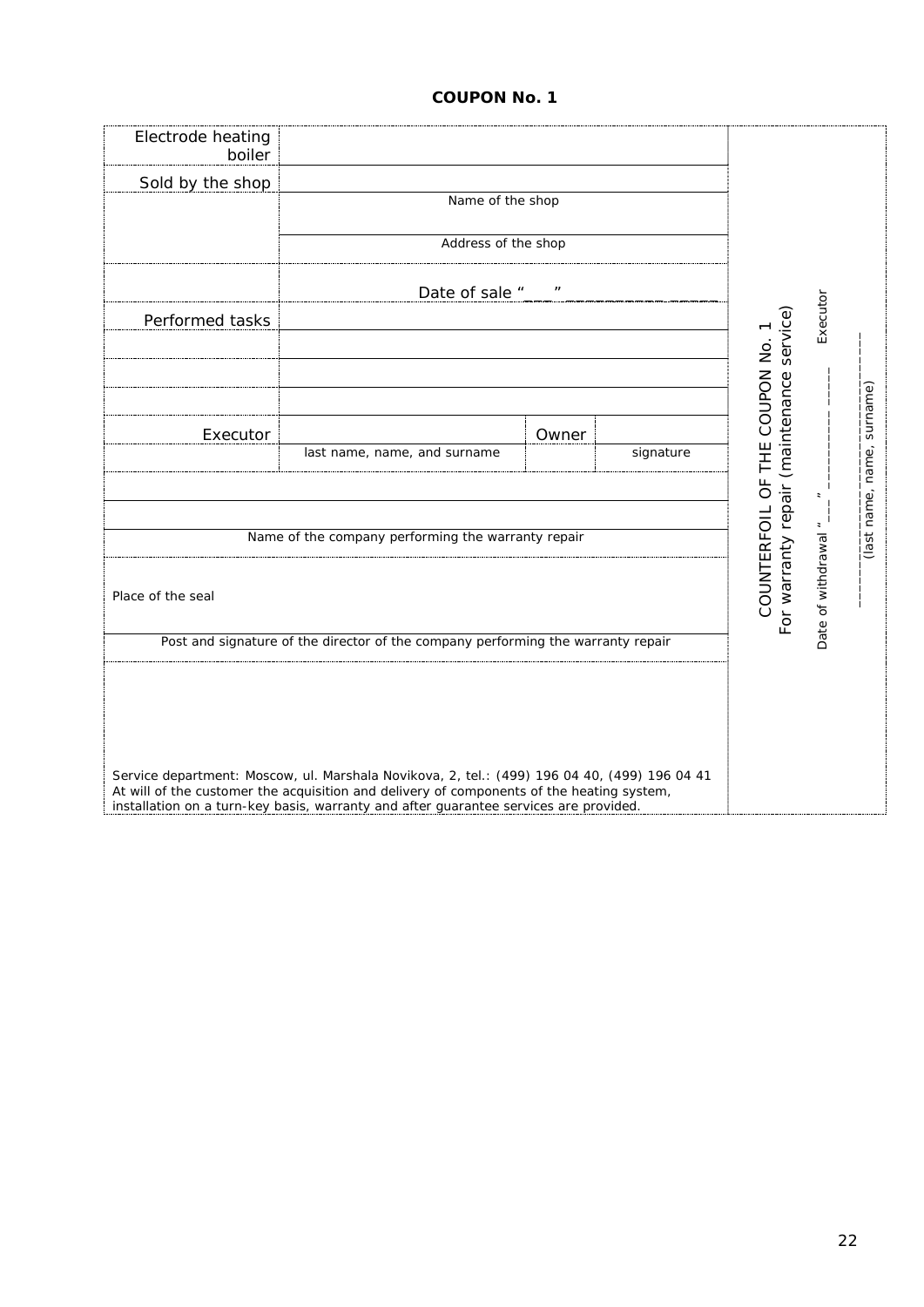# **COUPON No. 1**

| Electrode heating<br>boiler<br>Sold by the shop | Name of the shop<br>Address of the shop                                                                                                                                                                                                                                                                                                                                |       |           |                                                                            |                |             |
|-------------------------------------------------|------------------------------------------------------------------------------------------------------------------------------------------------------------------------------------------------------------------------------------------------------------------------------------------------------------------------------------------------------------------------|-------|-----------|----------------------------------------------------------------------------|----------------|-------------|
|                                                 | Date of sale "                                                                                                                                                                                                                                                                                                                                                         |       |           |                                                                            |                |             |
| Performed tasks                                 |                                                                                                                                                                                                                                                                                                                                                                        |       |           | For warranty repair (maintenance service)<br>COUNTERFOIL OF THE COUPON No. | Executor       | surname)    |
| Executor                                        | last name, name, and surname                                                                                                                                                                                                                                                                                                                                           | Owner | signature |                                                                            |                | name,       |
|                                                 | Name of the company performing the warranty repair                                                                                                                                                                                                                                                                                                                     |       |           |                                                                            | $\overline{a}$ | (last name, |
| Date of withdrawal ".<br>Place of the seal      |                                                                                                                                                                                                                                                                                                                                                                        |       |           |                                                                            |                |             |
|                                                 | Post and signature of the director of the company performing the warranty repair<br>Service department: Moscow, ul. Marshala Novikova, 2, tel.: (499) 196 04 40, (499) 196 04 41<br>At will of the customer the acquisition and delivery of components of the heating system,<br>installation on a turn-key basis, warranty and after guarantee services are provided. |       |           |                                                                            |                |             |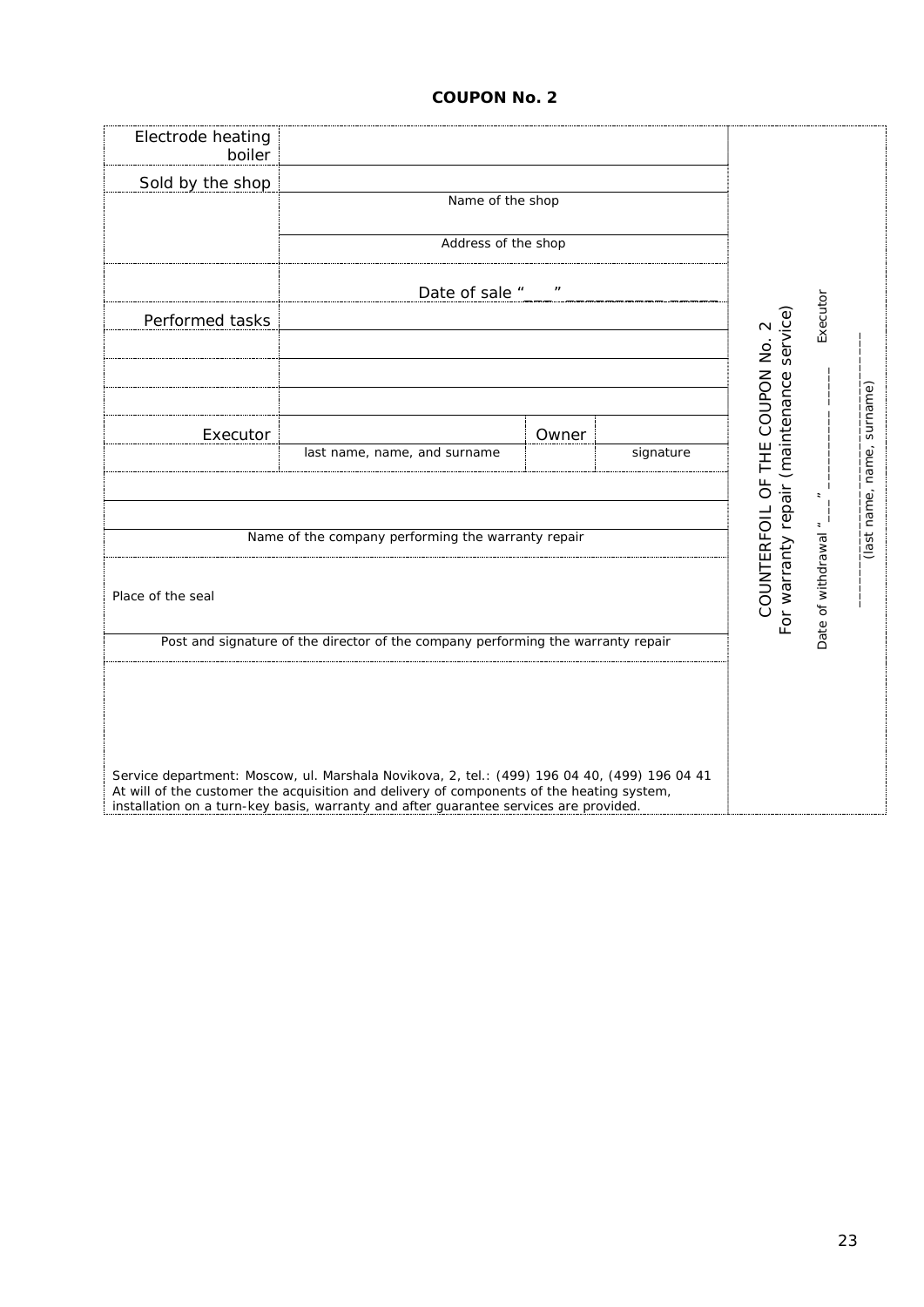# **COUPON No. 2**

| Electrode heating<br>boiler<br>Sold by the shop | Name of the shop<br>Address of the shop                                                                                                                                                                                                                                            |       |           |                                 |                          |                         |
|-------------------------------------------------|------------------------------------------------------------------------------------------------------------------------------------------------------------------------------------------------------------------------------------------------------------------------------------|-------|-----------|---------------------------------|--------------------------|-------------------------|
| Performed tasks                                 | Date of sale "                                                                                                                                                                                                                                                                     |       |           | (maintenance service)           | Executor                 |                         |
| Executor                                        | last name, name, and surname<br>Name of the company performing the warranty repair                                                                                                                                                                                                 | Owner | signature | COUNTERFOIL OF THE COUPON No. 2 | $\overline{\phantom{a}}$ | surname)<br>name, name, |
| Place of the seal                               | Post and signature of the director of the company performing the warranty repair                                                                                                                                                                                                   |       |           | For warranty repair             | Date of withdrawal       | (last                   |
|                                                 | Service department: Moscow, ul. Marshala Novikova, 2, tel.: (499) 196 04 40, (499) 196 04 41<br>At will of the customer the acquisition and delivery of components of the heating system,<br>installation on a turn-key basis, warranty and after guarantee services are provided. |       |           |                                 |                          |                         |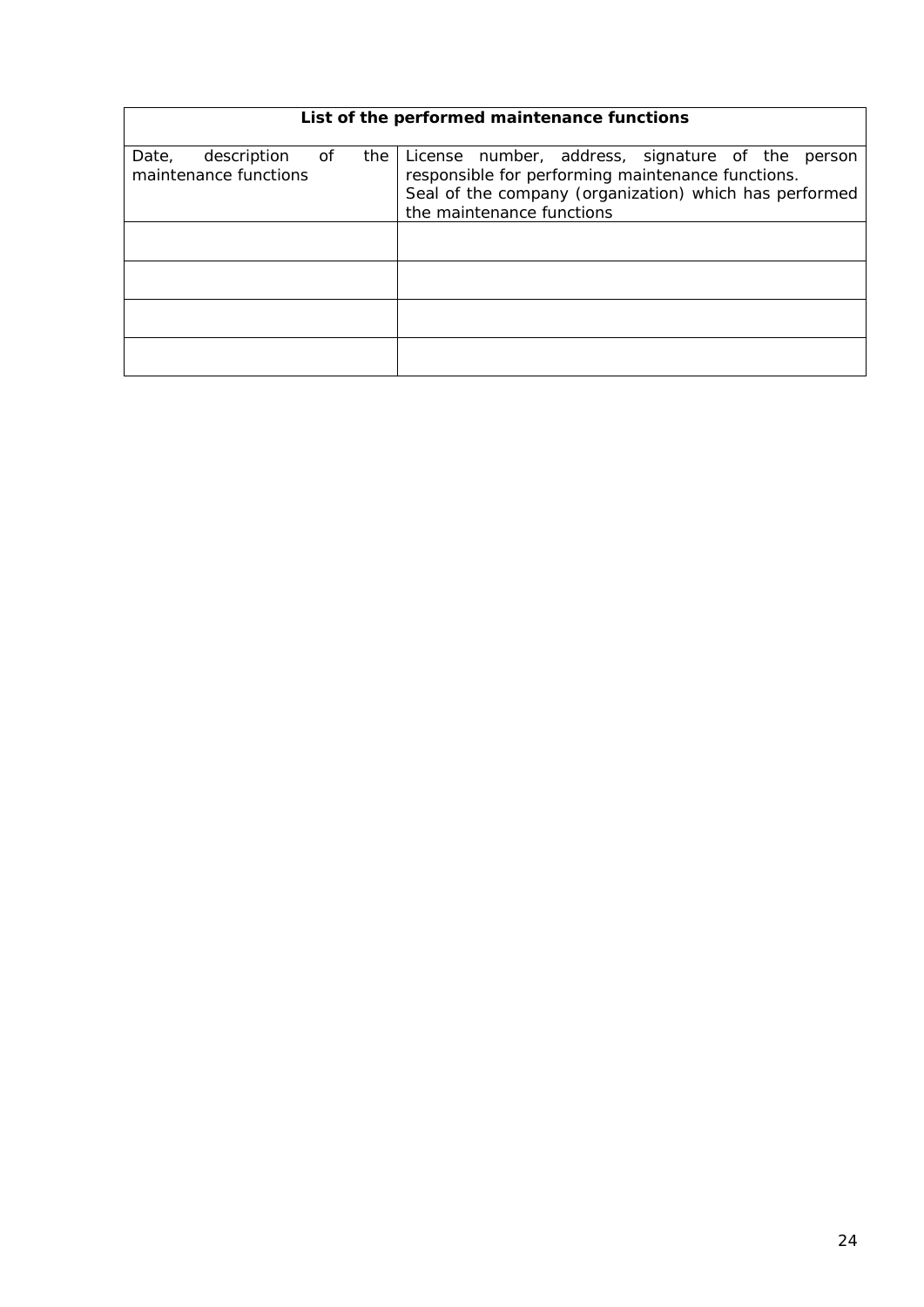<span id="page-23-0"></span>

|                                               |    |     | List of the performed maintenance functions                                                                                                                                                  |
|-----------------------------------------------|----|-----|----------------------------------------------------------------------------------------------------------------------------------------------------------------------------------------------|
| description<br>Date,<br>maintenance functions | of | the | License number, address, signature of the person<br>responsible for performing maintenance functions.<br>Seal of the company (organization) which has performed<br>the maintenance functions |
|                                               |    |     |                                                                                                                                                                                              |
|                                               |    |     |                                                                                                                                                                                              |
|                                               |    |     |                                                                                                                                                                                              |
|                                               |    |     |                                                                                                                                                                                              |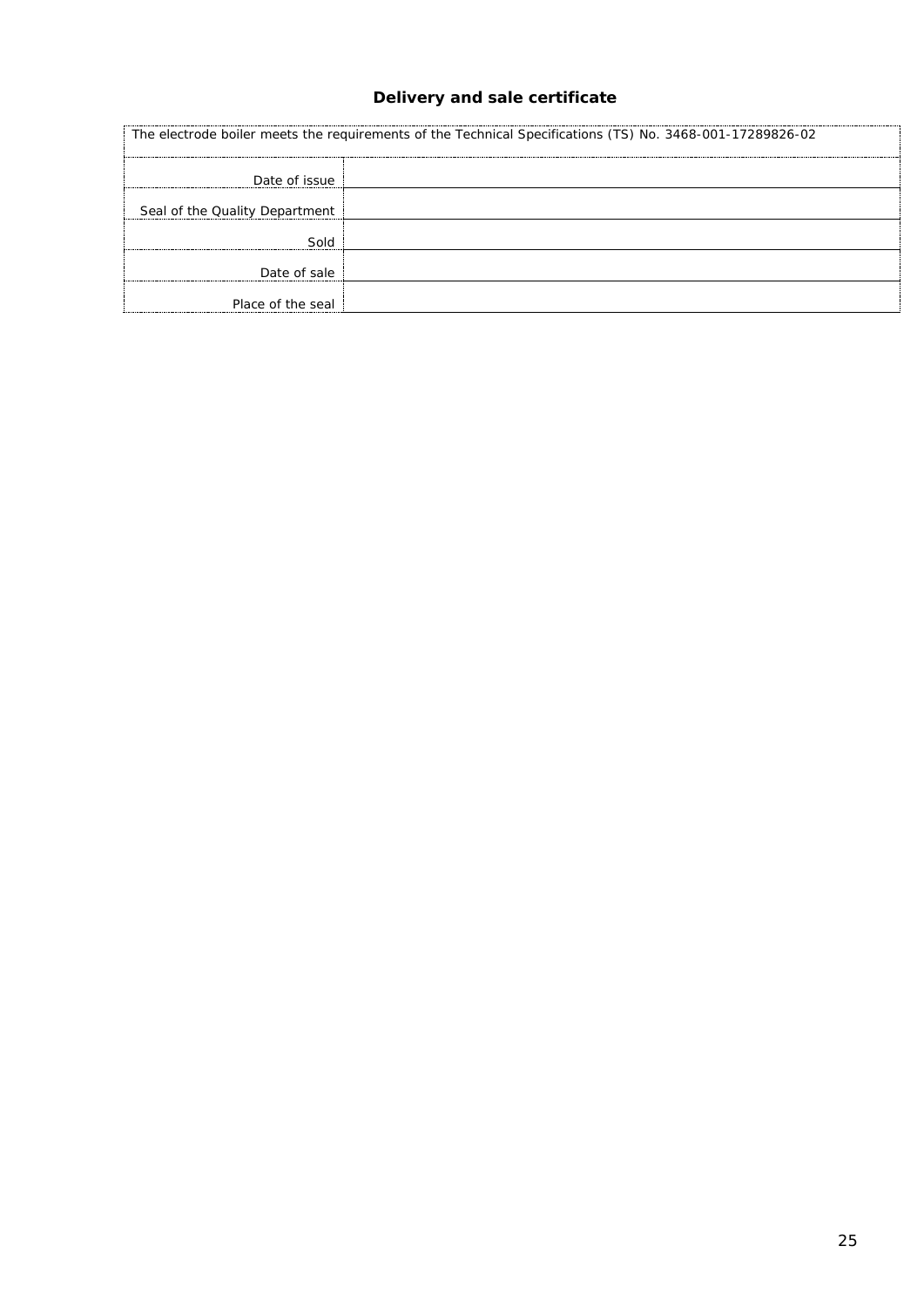# **Delivery and sale certificate**

<span id="page-24-0"></span>

| The electrode boiler meets the requirements of the Technical Specifications (TS) No. 3468-001-17289826-02 |  |
|-----------------------------------------------------------------------------------------------------------|--|
| Date of issue                                                                                             |  |
| Seal of the Quality Department                                                                            |  |
| Sold                                                                                                      |  |
| Date of sale                                                                                              |  |
| Place of the seal                                                                                         |  |